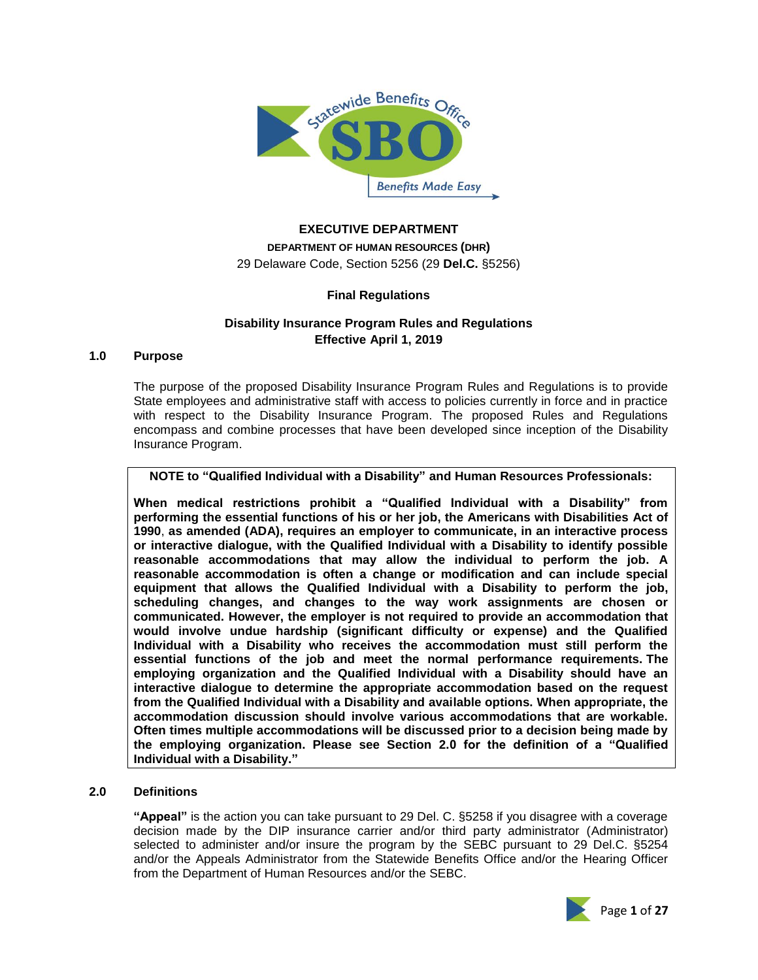

#### **EXECUTIVE DEPARTMENT**

**DEPARTMENT OF HUMAN RESOURCES (DHR)** 29 Delaware Code, Section 5256 (29 **Del.C.** §5256)

### **Final Regulations**

## **Disability Insurance Program Rules and Regulations Effective April 1, 2019**

### **1.0 Purpose**

The purpose of the proposed Disability Insurance Program Rules and Regulations is to provide State employees and administrative staff with access to policies currently in force and in practice with respect to the Disability Insurance Program. The proposed Rules and Regulations encompass and combine processes that have been developed since inception of the Disability Insurance Program.

**NOTE to "Qualified Individual with a Disability" and Human Resources Professionals:**

**When medical restrictions prohibit a "Qualified Individual with a Disability" from performing the essential functions of his or her job, the [Americans with Disabilities Act of](http://en.wikipedia.org/wiki/Americans_with_Disabilities_Act_of_1990)  [1990](http://en.wikipedia.org/wiki/Americans_with_Disabilities_Act_of_1990)**, **as amended (ADA), requires an employer to communicate, in an interactive process or interactive dialogue, with the Qualified Individual with a Disability to identify possible reasonable accommodations that may allow the individual to perform the job. A reasonable accommodation is often a change or modification and can include special equipment that allows the Qualified Individual with a Disability to perform the job, scheduling changes, and changes to the way work assignments are chosen or communicated. However, the employer is not required to provide an accommodation that would involve undue hardship (significant difficulty or expense) and the Qualified Individual with a Disability who receives the accommodation must still perform the essential functions of the job and meet the normal performance requirements. The employing organization and the Qualified Individual with a Disability should have an interactive dialogue to determine the appropriate accommodation based on the request from the Qualified Individual with a Disability and available options. When appropriate, the accommodation discussion should involve various accommodations that are workable. Often times multiple accommodations will be discussed prior to a decision being made by the employing organization. Please see Section 2.0 for the definition of a "Qualified Individual with a Disability."**

#### **2.0 Definitions**

**"Appeal"** is the action you can take pursuant to 29 Del. C. §5258 if you disagree with a coverage decision made by the DIP insurance carrier and/or third party administrator (Administrator) selected to administer and/or insure the program by the SEBC pursuant to 29 Del.C. §5254 and/or the Appeals Administrator from the Statewide Benefits Office and/or the Hearing Officer from the Department of Human Resources and/or the SEBC.

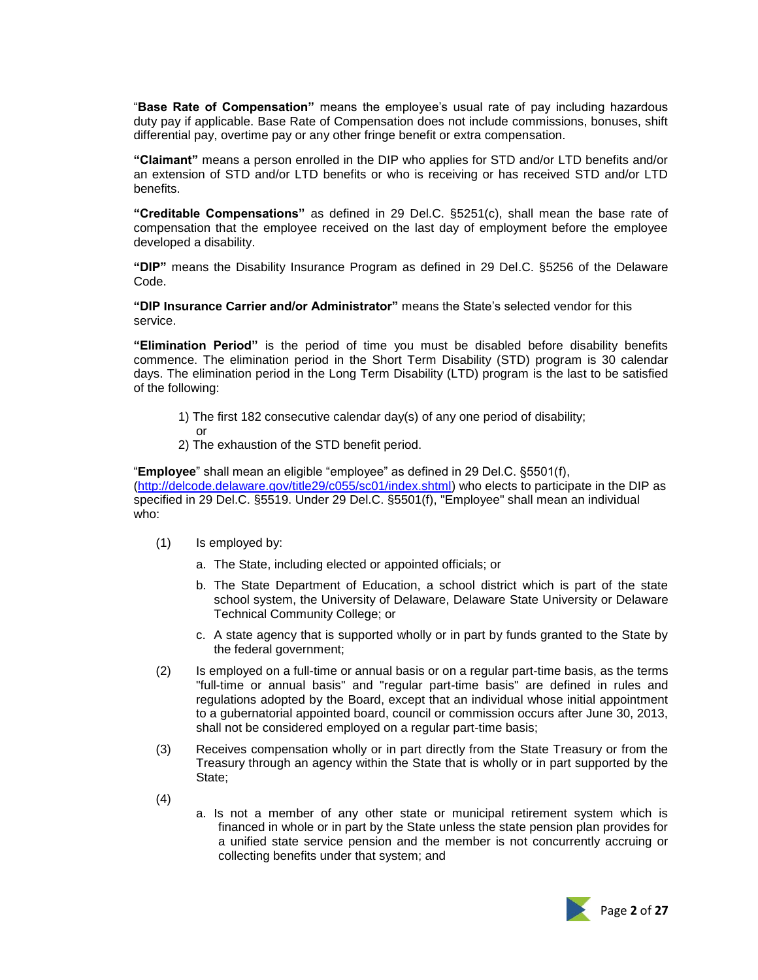"**Base Rate of Compensation"** means the employee's usual rate of pay including hazardous duty pay if applicable. Base Rate of Compensation does not include commissions, bonuses, shift differential pay, overtime pay or any other fringe benefit or extra compensation.

**"Claimant"** means a person enrolled in the DIP who applies for STD and/or LTD benefits and/or an extension of STD and/or LTD benefits or who is receiving or has received STD and/or LTD benefits.

**"Creditable Compensations"** as defined in 29 Del.C. §5251(c), shall mean the base rate of compensation that the employee received on the last day of employment before the employee developed a disability.

**"DIP"** means the Disability Insurance Program as defined in 29 Del.C. §5256 of the Delaware Code.

**"DIP Insurance Carrier and/or Administrator"** means the State's selected vendor for this service.

**"Elimination Period"** is the period of time you must be disabled before disability benefits commence. The elimination period in the Short Term Disability (STD) program is 30 calendar days. The elimination period in the Long Term Disability (LTD) program is the last to be satisfied of the following:

- 1) The first 182 consecutive calendar day(s) of any one period of disability;
- or 2) The exhaustion of the STD benefit period.

"**Employee**" shall mean an eligible "employee" as defined in 29 Del.C. §5501(f), [\(http://delcode.delaware.gov/title29/c055/sc01/index.shtml\)](http://delcode.delaware.gov/title29/c055/sc01/index.shtml) who elects to participate in the DIP as specified in 29 Del.C. §5519. Under 29 Del.C. §5501(f), "Employee" shall mean an individual who:

- (1) Is employed by:
	- a. The State, including elected or appointed officials; or
	- b. The State Department of Education, a school district which is part of the state school system, the University of Delaware, Delaware State University or Delaware Technical Community College; or
	- c. A state agency that is supported wholly or in part by funds granted to the State by the federal government;
- (2) Is employed on a full-time or annual basis or on a regular part-time basis, as the terms "full-time or annual basis" and "regular part-time basis" are defined in rules and regulations adopted by the Board, except that an individual whose initial appointment to a gubernatorial appointed board, council or commission occurs after June 30, 2013, shall not be considered employed on a regular part-time basis;
- (3) Receives compensation wholly or in part directly from the State Treasury or from the Treasury through an agency within the State that is wholly or in part supported by the State;
- (4)
- a. Is not a member of any other state or municipal retirement system which is financed in whole or in part by the State unless the state pension plan provides for a unified state service pension and the member is not concurrently accruing or collecting benefits under that system; and

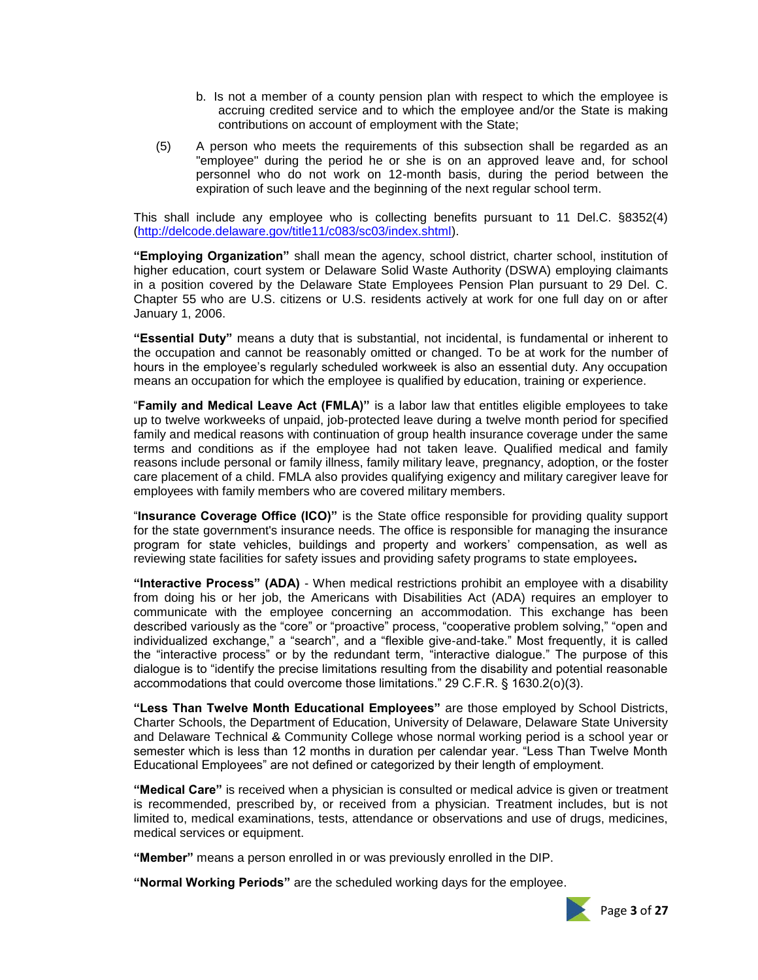- b. Is not a member of a county pension plan with respect to which the employee is accruing credited service and to which the employee and/or the State is making contributions on account of employment with the State;
- (5) A person who meets the requirements of this subsection shall be regarded as an "employee" during the period he or she is on an approved leave and, for school personnel who do not work on 12-month basis, during the period between the expiration of such leave and the beginning of the next regular school term.

This shall include any employee who is collecting benefits pursuant to 11 Del.C. §8352(4) [\(http://delcode.delaware.gov/title11/c083/sc03/index.shtml\)](http://delcode.delaware.gov/title11/c083/sc03/index.shtml).

**"Employing Organization"** shall mean the agency, school district, charter school, institution of higher education, court system or Delaware Solid Waste Authority (DSWA) employing claimants in a position covered by the Delaware State Employees Pension Plan pursuant to 29 Del. C. Chapter 55 who are U.S. citizens or U.S. residents actively at work for one full day on or after January 1, 2006.

**"Essential Duty"** means a duty that is substantial, not incidental, is fundamental or inherent to the occupation and cannot be reasonably omitted or changed. To be at work for the number of hours in the employee's regularly scheduled workweek is also an essential duty. Any occupation means an occupation for which the employee is qualified by education, training or experience.

"**Family and Medical Leave Act (FMLA)"** is a labor law that entitles eligible employees to take up to twelve workweeks of unpaid, job-protected leave during a twelve month period for specified family and medical reasons with continuation of group health insurance coverage under the same terms and conditions as if the employee had not taken leave. Qualified medical and family reasons include personal or family illness, family military leave, [pregnancy,](http://en.wikipedia.org/wiki/Pregnancy) [adoption,](http://en.wikipedia.org/wiki/Adoption) or the [foster](http://en.wikipedia.org/wiki/Foster_care)  [care](http://en.wikipedia.org/wiki/Foster_care) placement of a child. FMLA also provides qualifying exigency and military caregiver leave for employees with family members who are covered military members.

"**Insurance Coverage Office (ICO)"** is the State office responsible for providing quality support for the state government's insurance needs. The office is responsible for managing the insurance program for state vehicles, buildings and property and workers' compensation, as well as reviewing state facilities for safety issues and providing safety programs to state employees**.**

**"Interactive Process" (ADA)** - When medical restrictions prohibit an employee with a disability from doing his or her job, the Americans with Disabilities Act (ADA) requires an employer to communicate with the employee concerning an accommodation. This exchange has been described variously as the "core" or "proactive" process, "cooperative problem solving," "open and individualized exchange," a "search", and a "flexible give-and-take." Most frequently, it is called the "interactive process" or by the redundant term, "interactive dialogue." The purpose of this dialogue is to "identify the precise limitations resulting from the disability and potential reasonable accommodations that could overcome those limitations." 29 C.F.R. § 1630.2(o)(3).

**"Less Than Twelve Month Educational Employees"** are those employed by School Districts, Charter Schools, the Department of Education, University of Delaware, Delaware State University and Delaware Technical & Community College whose normal working period is a school year or semester which is less than 12 months in duration per calendar year. "Less Than Twelve Month Educational Employees" are not defined or categorized by their length of employment.

**"Medical Care"** is received when a physician is consulted or medical advice is given or treatment is recommended, prescribed by, or received from a physician. Treatment includes, but is not limited to, medical examinations, tests, attendance or observations and use of drugs, medicines, medical services or equipment.

**"Member"** means a person enrolled in or was previously enrolled in the DIP.

**"Normal Working Periods"** are the scheduled working days for the employee.

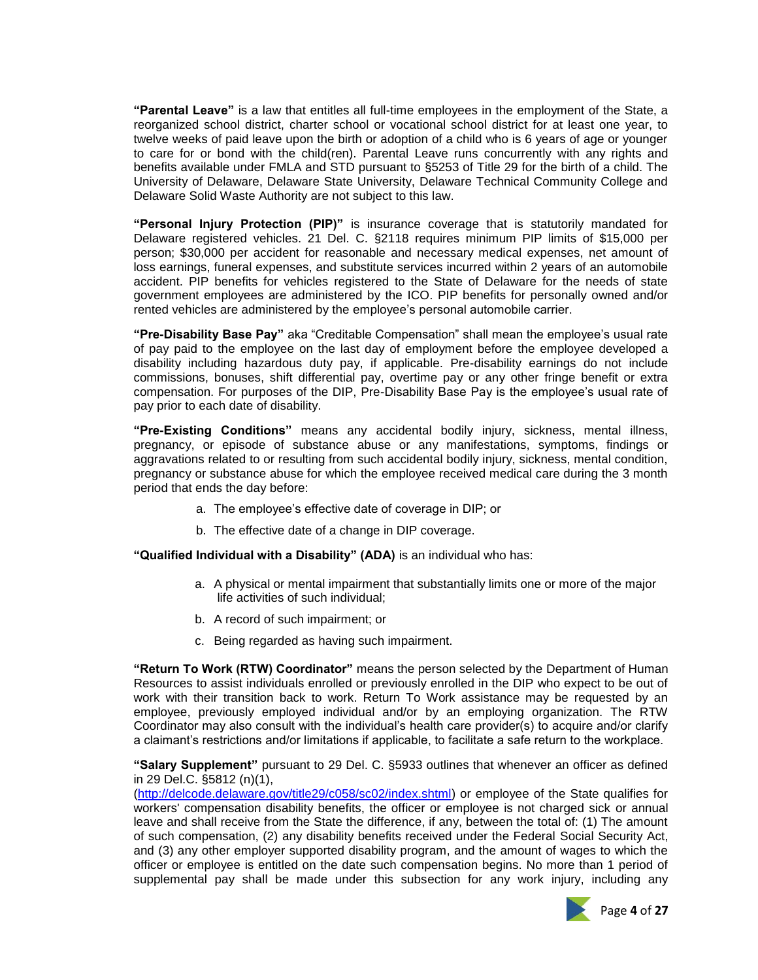**"Parental Leave"** is a law that entitles all full-time employees in the employment of the State, a reorganized school district, charter school or vocational school district for at least one year, to twelve weeks of paid leave upon the birth or adoption of a child who is 6 years of age or younger to care for or bond with the child(ren). Parental Leave runs concurrently with any rights and benefits available under FMLA and STD pursuant to §5253 of Title 29 for the birth of a child. The University of Delaware, Delaware State University, Delaware Technical Community College and Delaware Solid Waste Authority are not subject to this law.

**"Personal Injury Protection (PIP)"** is insurance coverage that is statutorily mandated for Delaware registered vehicles. 21 Del. C. §2118 requires minimum PIP limits of \$15,000 per person; \$30,000 per accident for reasonable and necessary medical expenses, net amount of loss earnings, funeral expenses, and substitute services incurred within 2 years of an automobile accident. PIP benefits for vehicles registered to the State of Delaware for the needs of state government employees are administered by the ICO. PIP benefits for personally owned and/or rented vehicles are administered by the employee's personal automobile carrier.

**"Pre-Disability Base Pay"** aka "Creditable Compensation" shall mean the employee's usual rate of pay paid to the employee on the last day of employment before the employee developed a disability including hazardous duty pay, if applicable. Pre-disability earnings do not include commissions, bonuses, shift differential pay, overtime pay or any other fringe benefit or extra compensation. For purposes of the DIP, Pre-Disability Base Pay is the employee's usual rate of pay prior to each date of disability.

**"Pre-Existing Conditions"** means any accidental bodily injury, sickness, mental illness, pregnancy, or episode of substance abuse or any manifestations, symptoms, findings or aggravations related to or resulting from such accidental bodily injury, sickness, mental condition, pregnancy or substance abuse for which the employee received medical care during the 3 month period that ends the day before:

- a. The employee's effective date of coverage in DIP; or
- b. The effective date of a change in DIP coverage.

**"Qualified Individual with a Disability" (ADA)** is an individual who has:

- a. A physical or mental impairment that substantially limits one or more of the major life activities of such individual;
- b. A record of such impairment; or
- c. Being regarded as having such impairment.

**"Return To Work (RTW) Coordinator"** means the person selected by the Department of Human Resources to assist individuals enrolled or previously enrolled in the DIP who expect to be out of work with their transition back to work. Return To Work assistance may be requested by an employee, previously employed individual and/or by an employing organization. The RTW Coordinator may also consult with the individual's health care provider(s) to acquire and/or clarify a claimant's restrictions and/or limitations if applicable, to facilitate a safe return to the workplace.

**"Salary Supplement"** pursuant to 29 Del. C. §5933 outlines that whenever an officer as defined in 29 Del.C. §5812 (n)(1),

[\(http://delcode.delaware.gov/title29/c058/sc02/index.shtml\)](http://delcode.delaware.gov/title29/c058/sc02/index.shtml) or employee of the State qualifies for workers' compensation disability benefits, the officer or employee is not charged sick or annual leave and shall receive from the State the difference, if any, between the total of: (1) The amount of such compensation, (2) any disability benefits received under the Federal Social Security Act, and (3) any other employer supported disability program, and the amount of wages to which the officer or employee is entitled on the date such compensation begins. No more than 1 period of supplemental pay shall be made under this subsection for any work injury, including any

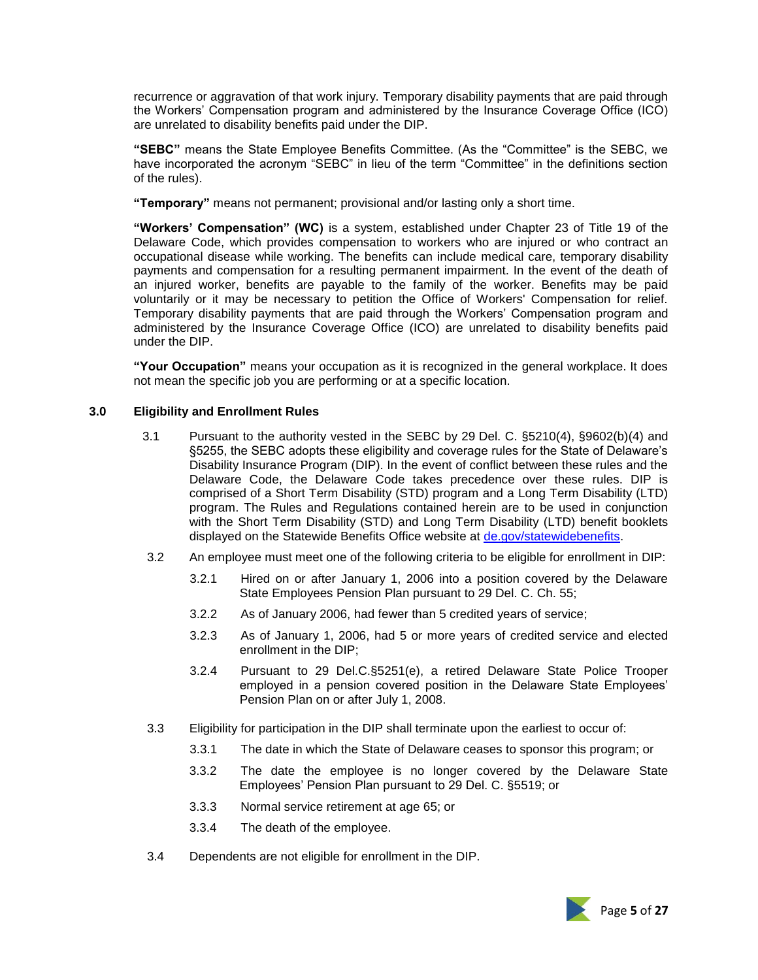recurrence or aggravation of that work injury. Temporary disability payments that are paid through the Workers' Compensation program and administered by the Insurance Coverage Office (ICO) are unrelated to disability benefits paid under the DIP.

**"SEBC"** means the State Employee Benefits Committee. (As the "Committee" is the SEBC, we have incorporated the acronym "SEBC" in lieu of the term "Committee" in the definitions section of the rules).

**"Temporary"** means not permanent; provisional and/or lasting only a short time.

**"Workers' Compensation" (WC)** is a system, established under Chapter 23 of Title 19 of the Delaware Code, which provides compensation to workers who are injured or who contract an occupational disease while working. The benefits can include medical care, temporary disability payments and compensation for a resulting permanent impairment. In the event of the death of an injured worker, benefits are payable to the family of the worker. Benefits may be paid voluntarily or it may be necessary to petition the Office of Workers' Compensation for relief. Temporary disability payments that are paid through the Workers' Compensation program and administered by the Insurance Coverage Office (ICO) are unrelated to disability benefits paid under the DIP.

**"Your Occupation"** means your occupation as it is recognized in the general workplace. It does not mean the specific job you are performing or at a specific location.

#### **3.0 Eligibility and Enrollment Rules**

- 3.1 Pursuant to the authority vested in the SEBC by 29 Del. C. §5210(4), §9602(b)(4) and §5255, the SEBC adopts these eligibility and coverage rules for the State of Delaware's Disability Insurance Program (DIP). In the event of conflict between these rules and the Delaware Code, the Delaware Code takes precedence over these rules. DIP is comprised of a Short Term Disability (STD) program and a Long Term Disability (LTD) program. The Rules and Regulations contained herein are to be used in conjunction with the Short Term Disability (STD) and Long Term Disability (LTD) benefit booklets displayed on the Statewide Benefits Office website at [de.gov/statewidebenefits.](https://de.gov/statewidebenefits)
- 3.2 An employee must meet one of the following criteria to be eligible for enrollment in DIP:
	- 3.2.1 Hired on or after January 1, 2006 into a position covered by the Delaware State Employees Pension Plan pursuant to 29 Del. C. Ch. 55;
	- 3.2.2 As of January 2006, had fewer than 5 credited years of service;
	- 3.2.3 As of January 1, 2006, had 5 or more years of credited service and elected enrollment in the DIP;
	- 3.2.4 Pursuant to 29 Del.C.§5251(e), a retired Delaware State Police Trooper employed in a pension covered position in the Delaware State Employees' Pension Plan on or after July 1, 2008.
- 3.3 Eligibility for participation in the DIP shall terminate upon the earliest to occur of:
	- 3.3.1 The date in which the State of Delaware ceases to sponsor this program; or
	- 3.3.2 The date the employee is no longer covered by the Delaware State Employees' Pension Plan pursuant to 29 Del. C. §5519; or
	- 3.3.3 Normal service retirement at age 65; or
	- 3.3.4 The death of the employee.
- 3.4 Dependents are not eligible for enrollment in the DIP.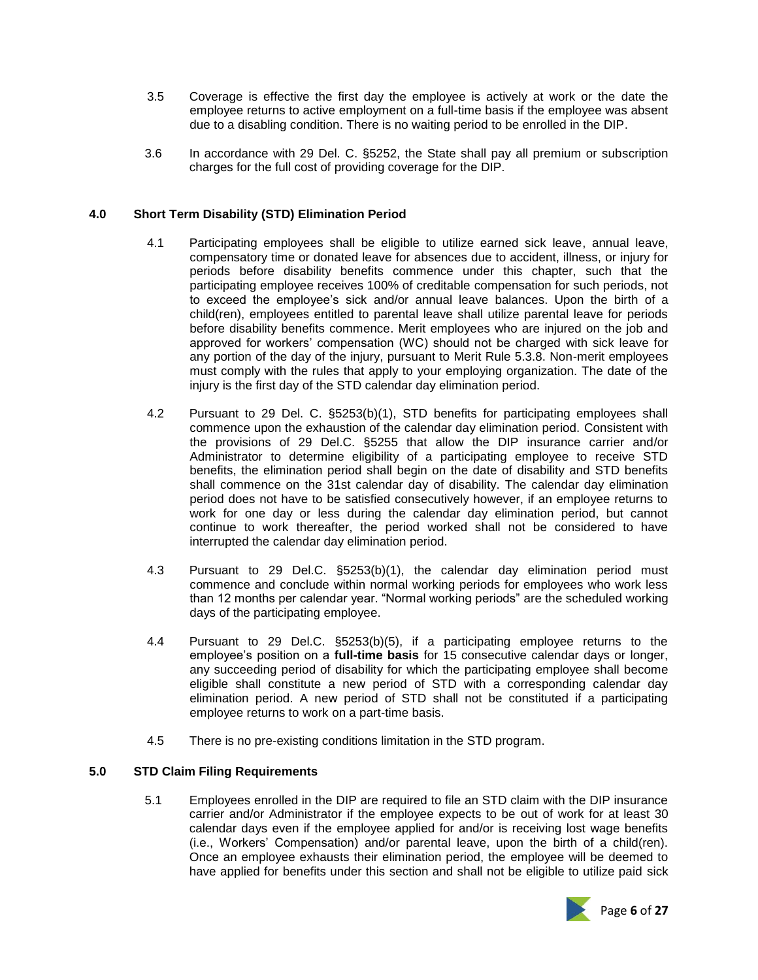- 3.5 Coverage is effective the first day the employee is actively at work or the date the employee returns to active employment on a full-time basis if the employee was absent due to a disabling condition. There is no waiting period to be enrolled in the DIP.
- 3.6 In accordance with 29 Del. C. §5252, the State shall pay all premium or subscription charges for the full cost of providing coverage for the DIP.

# **4.0 Short Term Disability (STD) Elimination Period**

- 4.1 Participating employees shall be eligible to utilize earned sick leave, annual leave, compensatory time or donated leave for absences due to accident, illness, or injury for periods before disability benefits commence under this chapter, such that the participating employee receives 100% of creditable compensation for such periods, not to exceed the employee's sick and/or annual leave balances. Upon the birth of a child(ren), employees entitled to parental leave shall utilize parental leave for periods before disability benefits commence. Merit employees who are injured on the job and approved for workers' compensation (WC) should not be charged with sick leave for any portion of the day of the injury, pursuant to Merit Rule 5.3.8. Non-merit employees must comply with the rules that apply to your employing organization. The date of the injury is the first day of the STD calendar day elimination period.
- 4.2 Pursuant to 29 Del. C. §5253(b)(1), STD benefits for participating employees shall commence upon the exhaustion of the calendar day elimination period. Consistent with the provisions of 29 Del.C. §5255 that allow the DIP insurance carrier and/or Administrator to determine eligibility of a participating employee to receive STD benefits, the elimination period shall begin on the date of disability and STD benefits shall commence on the 31st calendar day of disability. The calendar day elimination period does not have to be satisfied consecutively however, if an employee returns to work for one day or less during the calendar day elimination period, but cannot continue to work thereafter, the period worked shall not be considered to have interrupted the calendar day elimination period.
- 4.3 Pursuant to 29 Del.C. §5253(b)(1), the calendar day elimination period must commence and conclude within normal working periods for employees who work less than 12 months per calendar year. "Normal working periods" are the scheduled working days of the participating employee.
- 4.4 Pursuant to 29 Del.C. §5253(b)(5), if a participating employee returns to the employee's position on a **full-time basis** for 15 consecutive calendar days or longer, any succeeding period of disability for which the participating employee shall become eligible shall constitute a new period of STD with a corresponding calendar day elimination period. A new period of STD shall not be constituted if a participating employee returns to work on a part-time basis.
- 4.5 There is no pre-existing conditions limitation in the STD program.

# **5.0 STD Claim Filing Requirements**

5.1 Employees enrolled in the DIP are required to file an STD claim with the DIP insurance carrier and/or Administrator if the employee expects to be out of work for at least 30 calendar days even if the employee applied for and/or is receiving lost wage benefits (i.e., Workers' Compensation) and/or parental leave, upon the birth of a child(ren). Once an employee exhausts their elimination period, the employee will be deemed to have applied for benefits under this section and shall not be eligible to utilize paid sick

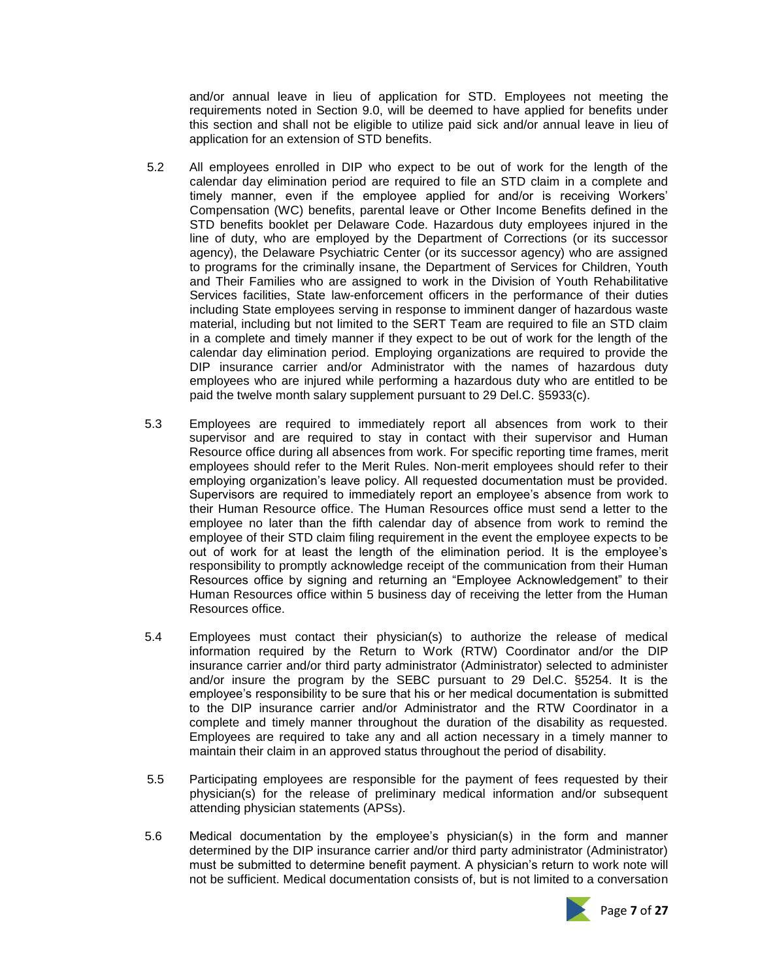and/or annual leave in lieu of application for STD. Employees not meeting the requirements noted in Section 9.0, will be deemed to have applied for benefits under this section and shall not be eligible to utilize paid sick and/or annual leave in lieu of application for an extension of STD benefits.

- 5.2 All employees enrolled in DIP who expect to be out of work for the length of the calendar day elimination period are required to file an STD claim in a complete and timely manner, even if the employee applied for and/or is receiving Workers' Compensation (WC) benefits, parental leave or Other Income Benefits defined in the STD benefits booklet per Delaware Code. Hazardous duty employees injured in the line of duty, who are employed by the Department of Corrections (or its successor agency), the Delaware Psychiatric Center (or its successor agency) who are assigned to programs for the criminally insane, the Department of Services for Children, Youth and Their Families who are assigned to work in the Division of Youth Rehabilitative Services facilities, State law-enforcement officers in the performance of their duties including State employees serving in response to imminent danger of hazardous waste material, including but not limited to the SERT Team are required to file an STD claim in a complete and timely manner if they expect to be out of work for the length of the calendar day elimination period. Employing organizations are required to provide the DIP insurance carrier and/or Administrator with the names of hazardous duty employees who are injured while performing a hazardous duty who are entitled to be paid the twelve month salary supplement pursuant to 29 Del.C. §5933(c).
- 5.3 Employees are required to immediately report all absences from work to their supervisor and are required to stay in contact with their supervisor and Human Resource office during all absences from work. For specific reporting time frames, merit employees should refer to the Merit Rules. Non-merit employees should refer to their employing organization's leave policy. All requested documentation must be provided. Supervisors are required to immediately report an employee's absence from work to their Human Resource office. The Human Resources office must send a letter to the employee no later than the fifth calendar day of absence from work to remind the employee of their STD claim filing requirement in the event the employee expects to be out of work for at least the length of the elimination period. It is the employee's responsibility to promptly acknowledge receipt of the communication from their Human Resources office by signing and returning an "Employee Acknowledgement" to their Human Resources office within 5 business day of receiving the letter from the Human Resources office.
- 5.4 Employees must contact their physician(s) to authorize the release of medical information required by the Return to Work (RTW) Coordinator and/or the DIP insurance carrier and/or third party administrator (Administrator) selected to administer and/or insure the program by the SEBC pursuant to 29 Del.C. §5254. It is the employee's responsibility to be sure that his or her medical documentation is submitted to the DIP insurance carrier and/or Administrator and the RTW Coordinator in a complete and timely manner throughout the duration of the disability as requested. Employees are required to take any and all action necessary in a timely manner to maintain their claim in an approved status throughout the period of disability.
- 5.5 Participating employees are responsible for the payment of fees requested by their physician(s) for the release of preliminary medical information and/or subsequent attending physician statements (APSs).
- 5.6 Medical documentation by the employee's physician(s) in the form and manner determined by the DIP insurance carrier and/or third party administrator (Administrator) must be submitted to determine benefit payment. A physician's return to work note will not be sufficient. Medical documentation consists of, but is not limited to a conversation

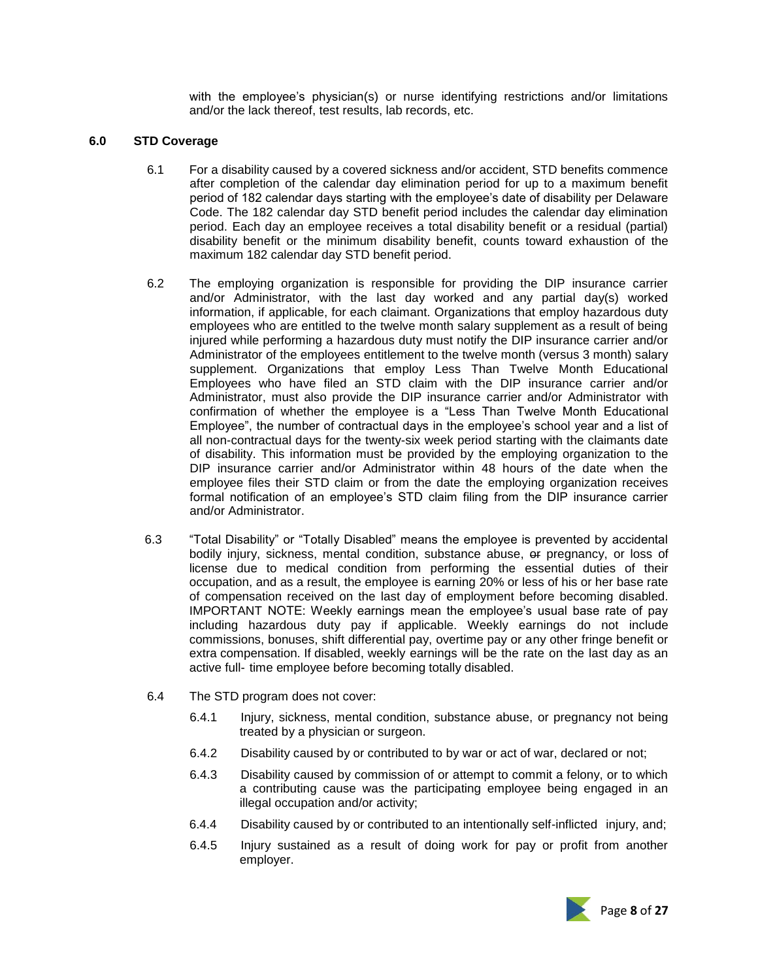with the employee's physician(s) or nurse identifying restrictions and/or limitations and/or the lack thereof, test results, lab records, etc.

### **6.0 STD Coverage**

- 6.1 For a disability caused by a covered sickness and/or accident, STD benefits commence after completion of the calendar day elimination period for up to a maximum benefit period of 182 calendar days starting with the employee's date of disability per Delaware Code. The 182 calendar day STD benefit period includes the calendar day elimination period. Each day an employee receives a total disability benefit or a residual (partial) disability benefit or the minimum disability benefit, counts toward exhaustion of the maximum 182 calendar day STD benefit period.
- 6.2 The employing organization is responsible for providing the DIP insurance carrier and/or Administrator, with the last day worked and any partial day(s) worked information, if applicable, for each claimant. Organizations that employ hazardous duty employees who are entitled to the twelve month salary supplement as a result of being injured while performing a hazardous duty must notify the DIP insurance carrier and/or Administrator of the employees entitlement to the twelve month (versus 3 month) salary supplement. Organizations that employ Less Than Twelve Month Educational Employees who have filed an STD claim with the DIP insurance carrier and/or Administrator, must also provide the DIP insurance carrier and/or Administrator with confirmation of whether the employee is a "Less Than Twelve Month Educational Employee", the number of contractual days in the employee's school year and a list of all non-contractual days for the twenty-six week period starting with the claimants date of disability. This information must be provided by the employing organization to the DIP insurance carrier and/or Administrator within 48 hours of the date when the employee files their STD claim or from the date the employing organization receives formal notification of an employee's STD claim filing from the DIP insurance carrier and/or Administrator.
- 6.3 "Total Disability" or "Totally Disabled" means the employee is prevented by accidental bodily injury, sickness, mental condition, substance abuse, or pregnancy, or loss of license due to medical condition from performing the essential duties of their occupation, and as a result, the employee is earning 20% or less of his or her base rate of compensation received on the last day of employment before becoming disabled. IMPORTANT NOTE: Weekly earnings mean the employee's usual base rate of pay including hazardous duty pay if applicable. Weekly earnings do not include commissions, bonuses, shift differential pay, overtime pay or any other fringe benefit or extra compensation. If disabled, weekly earnings will be the rate on the last day as an active full- time employee before becoming totally disabled.
- 6.4 The STD program does not cover:
	- 6.4.1 Injury, sickness, mental condition, substance abuse, or pregnancy not being treated by a physician or surgeon.
	- 6.4.2 Disability caused by or contributed to by war or act of war, declared or not;
	- 6.4.3 Disability caused by commission of or attempt to commit a felony, or to which a contributing cause was the participating employee being engaged in an illegal occupation and/or activity;
	- 6.4.4 Disability caused by or contributed to an intentionally self-inflicted injury, and;
	- 6.4.5 Injury sustained as a result of doing work for pay or profit from another employer.

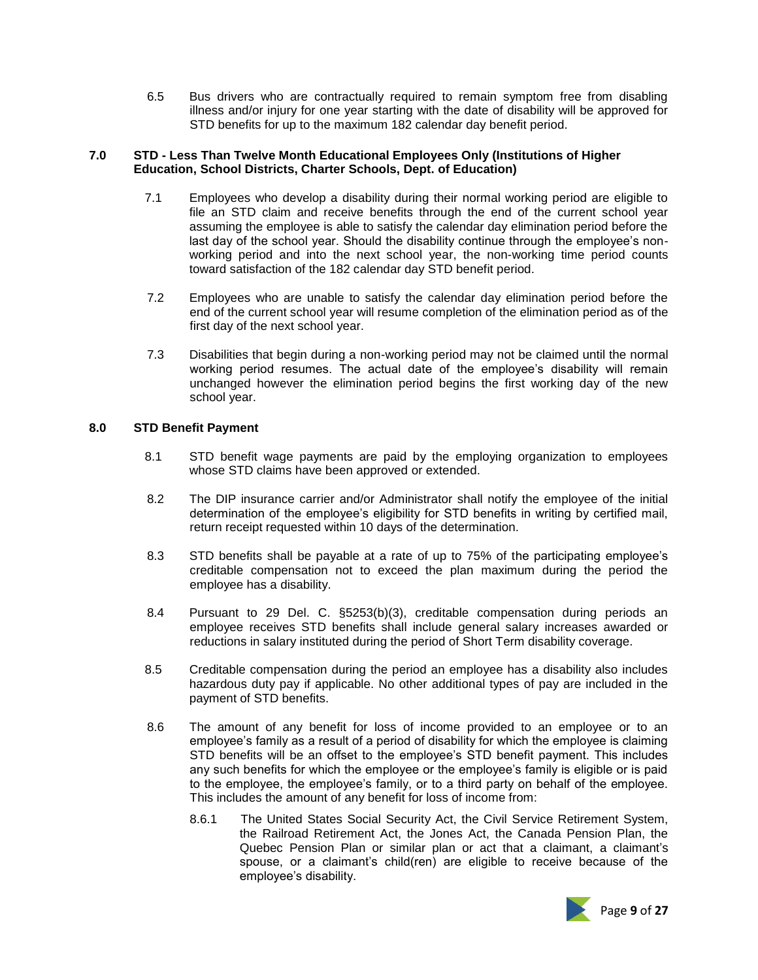6.5 Bus drivers who are contractually required to remain symptom free from disabling illness and/or injury for one year starting with the date of disability will be approved for STD benefits for up to the maximum 182 calendar day benefit period.

### **7.0 STD - Less Than Twelve Month Educational Employees Only (Institutions of Higher Education, School Districts, Charter Schools, Dept. of Education)**

- 7.1 Employees who develop a disability during their normal working period are eligible to file an STD claim and receive benefits through the end of the current school year assuming the employee is able to satisfy the calendar day elimination period before the last day of the school year. Should the disability continue through the employee's nonworking period and into the next school year, the non-working time period counts toward satisfaction of the 182 calendar day STD benefit period.
- 7.2 Employees who are unable to satisfy the calendar day elimination period before the end of the current school year will resume completion of the elimination period as of the first day of the next school year.
- 7.3 Disabilities that begin during a non-working period may not be claimed until the normal working period resumes. The actual date of the employee's disability will remain unchanged however the elimination period begins the first working day of the new school year.

### **8.0 STD Benefit Payment**

- 8.1 STD benefit wage payments are paid by the employing organization to employees whose STD claims have been approved or extended.
- 8.2 The DIP insurance carrier and/or Administrator shall notify the employee of the initial determination of the employee's eligibility for STD benefits in writing by certified mail, return receipt requested within 10 days of the determination.
- 8.3 STD benefits shall be payable at a rate of up to 75% of the participating employee's creditable compensation not to exceed the plan maximum during the period the employee has a disability.
- 8.4 Pursuant to 29 Del. C. §5253(b)(3), creditable compensation during periods an employee receives STD benefits shall include general salary increases awarded or reductions in salary instituted during the period of Short Term disability coverage.
- 8.5 Creditable compensation during the period an employee has a disability also includes hazardous duty pay if applicable. No other additional types of pay are included in the payment of STD benefits.
- 8.6 The amount of any benefit for loss of income provided to an employee or to an employee's family as a result of a period of disability for which the employee is claiming STD benefits will be an offset to the employee's STD benefit payment. This includes any such benefits for which the employee or the employee's family is eligible or is paid to the employee, the employee's family, or to a third party on behalf of the employee. This includes the amount of any benefit for loss of income from:
	- 8.6.1 The United States Social Security Act, the Civil Service Retirement System, the Railroad Retirement Act, the Jones Act, the Canada Pension Plan, the Quebec Pension Plan or similar plan or act that a claimant, a claimant's spouse, or a claimant's child(ren) are eligible to receive because of the employee's disability.

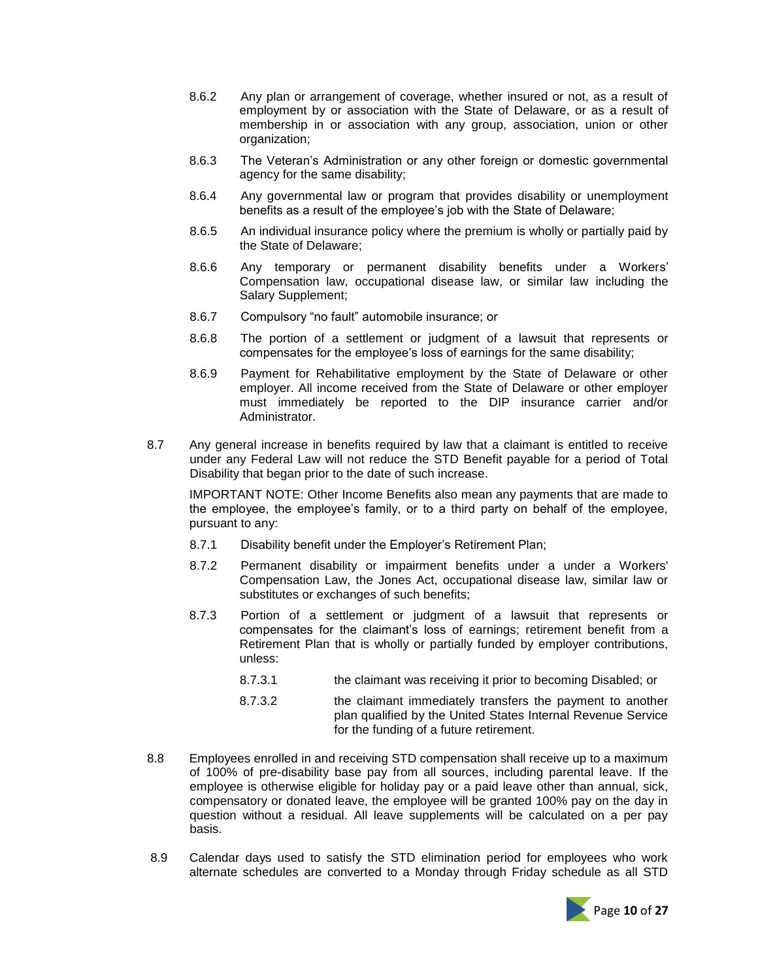- 8.6.2 Any plan or arrangement of coverage, whether insured or not, as a result of employment by or association with the State of Delaware, or as a result of membership in or association with any group, association, union or other organization;
- 8.6.3 The Veteran's Administration or any other foreign or domestic governmental agency for the same disability;
- 8.6.4 Any governmental law or program that provides disability or unemployment benefits as a result of the employee's job with the State of Delaware;
- 8.6.5 An individual insurance policy where the premium is wholly or partially paid by the State of Delaware;
- 8.6.6 Any temporary or permanent disability benefits under a Workers' Compensation law, occupational disease law, or similar law including the Salary Supplement;
- 8.6.7 Compulsory "no fault" automobile insurance; or
- 8.6.8 The portion of a settlement or judgment of a lawsuit that represents or compensates for the employee's loss of earnings for the same disability;
- 8.6.9 Payment for Rehabilitative employment by the State of Delaware or other employer. All income received from the State of Delaware or other employer must immediately be reported to the DIP insurance carrier and/or Administrator.
- 8.7 Any general increase in benefits required by law that a claimant is entitled to receive under any Federal Law will not reduce the STD Benefit payable for a period of Total Disability that began prior to the date of such increase.

IMPORTANT NOTE: Other Income Benefits also mean any payments that are made to the employee, the employee's family, or to a third party on behalf of the employee, pursuant to any:

- 8.7.1 Disability benefit under the Employer's Retirement Plan;
- 8.7.2 Permanent disability or impairment benefits under a under a Workers' Compensation Law, the Jones Act, occupational disease law, similar law or substitutes or exchanges of such benefits;
- 8.7.3 Portion of a settlement or judgment of a lawsuit that represents or compensates for the claimant's loss of earnings; retirement benefit from a Retirement Plan that is wholly or partially funded by employer contributions, unless:
	- 8.7.3.1 the claimant was receiving it prior to becoming Disabled; or
	- 8.7.3.2 the claimant immediately transfers the payment to another plan qualified by the United States Internal Revenue Service for the funding of a future retirement.
- 8.8 Employees enrolled in and receiving STD compensation shall receive up to a maximum of 100% of pre-disability base pay from all sources, including parental leave. If the employee is otherwise eligible for holiday pay or a paid leave other than annual, sick, compensatory or donated leave, the employee will be granted 100% pay on the day in question without a residual. All leave supplements will be calculated on a per pay basis.
- 8.9 Calendar days used to satisfy the STD elimination period for employees who work alternate schedules are converted to a Monday through Friday schedule as all STD

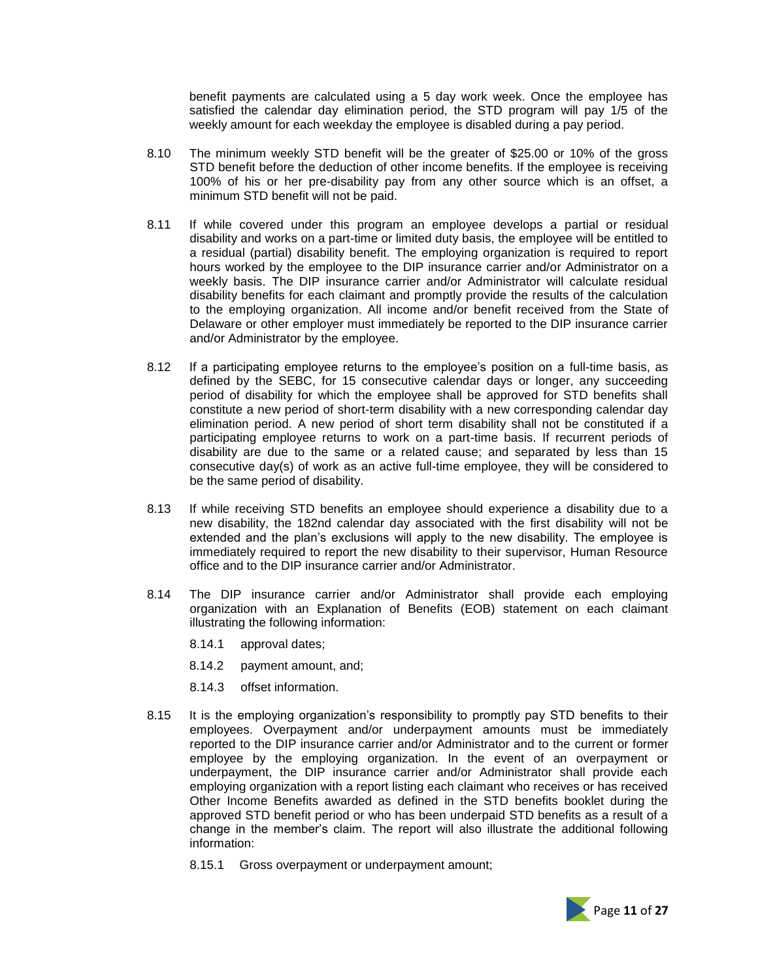benefit payments are calculated using a 5 day work week. Once the employee has satisfied the calendar day elimination period, the STD program will pay 1/5 of the weekly amount for each weekday the employee is disabled during a pay period.

- 8.10 The minimum weekly STD benefit will be the greater of \$25.00 or 10% of the gross STD benefit before the deduction of other income benefits. If the employee is receiving 100% of his or her pre-disability pay from any other source which is an offset, a minimum STD benefit will not be paid.
- 8.11 If while covered under this program an employee develops a partial or residual disability and works on a part-time or limited duty basis, the employee will be entitled to a residual (partial) disability benefit. The employing organization is required to report hours worked by the employee to the DIP insurance carrier and/or Administrator on a weekly basis. The DIP insurance carrier and/or Administrator will calculate residual disability benefits for each claimant and promptly provide the results of the calculation to the employing organization. All income and/or benefit received from the State of Delaware or other employer must immediately be reported to the DIP insurance carrier and/or Administrator by the employee.
- 8.12 If a participating employee returns to the employee's position on a full-time basis, as defined by the SEBC, for 15 consecutive calendar days or longer, any succeeding period of disability for which the employee shall be approved for STD benefits shall constitute a new period of short-term disability with a new corresponding calendar day elimination period. A new period of short term disability shall not be constituted if a participating employee returns to work on a part-time basis. If recurrent periods of disability are due to the same or a related cause; and separated by less than 15 consecutive day(s) of work as an active full-time employee, they will be considered to be the same period of disability.
- 8.13 If while receiving STD benefits an employee should experience a disability due to a new disability, the 182nd calendar day associated with the first disability will not be extended and the plan's exclusions will apply to the new disability. The employee is immediately required to report the new disability to their supervisor, Human Resource office and to the DIP insurance carrier and/or Administrator.
- 8.14 The DIP insurance carrier and/or Administrator shall provide each employing organization with an Explanation of Benefits (EOB) statement on each claimant illustrating the following information:
	- 8.14.1 approval dates;
	- 8.14.2 payment amount, and;
	- 8.14.3 offset information.
- 8.15 It is the employing organization's responsibility to promptly pay STD benefits to their employees. Overpayment and/or underpayment amounts must be immediately reported to the DIP insurance carrier and/or Administrator and to the current or former employee by the employing organization. In the event of an overpayment or underpayment, the DIP insurance carrier and/or Administrator shall provide each employing organization with a report listing each claimant who receives or has received Other Income Benefits awarded as defined in the STD benefits booklet during the approved STD benefit period or who has been underpaid STD benefits as a result of a change in the member's claim. The report will also illustrate the additional following information:
	- 8.15.1 Gross overpayment or underpayment amount;

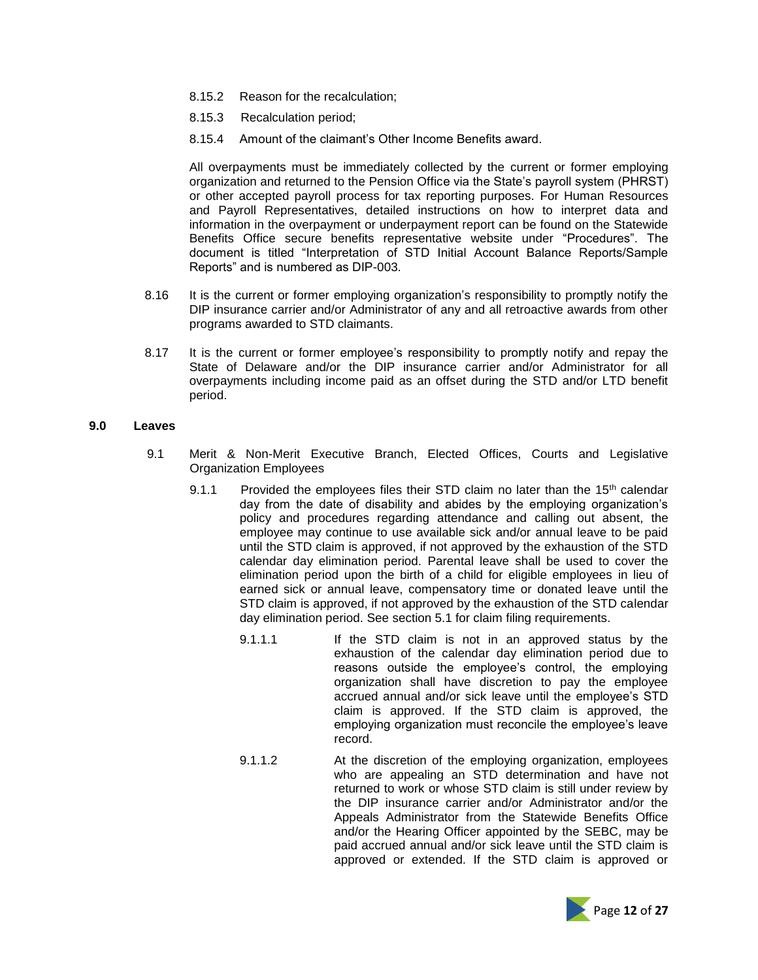- 8.15.2 Reason for the recalculation;
- 8.15.3 Recalculation period;
- 8.15.4 Amount of the claimant's Other Income Benefits award.

All overpayments must be immediately collected by the current or former employing organization and returned to the Pension Office via the State's payroll system (PHRST) or other accepted payroll process for tax reporting purposes. For Human Resources and Payroll Representatives, detailed instructions on how to interpret data and information in the overpayment or underpayment report can be found on the Statewide Benefits Office secure benefits representative website under "Procedures". The document is titled "Interpretation of STD Initial Account Balance Reports/Sample Reports" and is numbered as DIP-003.

- 8.16 It is the current or former employing organization's responsibility to promptly notify the DIP insurance carrier and/or Administrator of any and all retroactive awards from other programs awarded to STD claimants.
- 8.17 It is the current or former employee's responsibility to promptly notify and repay the State of Delaware and/or the DIP insurance carrier and/or Administrator for all overpayments including income paid as an offset during the STD and/or LTD benefit period.

#### **9.0 Leaves**

- 9.1 Merit & Non-Merit Executive Branch, Elected Offices, Courts and Legislative Organization Employees
	- 9.1.1 Provided the employees files their STD claim no later than the  $15<sup>th</sup>$  calendar day from the date of disability and abides by the employing organization's policy and procedures regarding attendance and calling out absent, the employee may continue to use available sick and/or annual leave to be paid until the STD claim is approved, if not approved by the exhaustion of the STD calendar day elimination period. Parental leave shall be used to cover the elimination period upon the birth of a child for eligible employees in lieu of earned sick or annual leave, compensatory time or donated leave until the STD claim is approved, if not approved by the exhaustion of the STD calendar day elimination period. See section 5.1 for claim filing requirements.
		- 9.1.1.1 If the STD claim is not in an approved status by the exhaustion of the calendar day elimination period due to reasons outside the employee's control, the employing organization shall have discretion to pay the employee accrued annual and/or sick leave until the employee's STD claim is approved. If the STD claim is approved, the employing organization must reconcile the employee's leave record.
		- 9.1.1.2 At the discretion of the employing organization, employees who are appealing an STD determination and have not returned to work or whose STD claim is still under review by the DIP insurance carrier and/or Administrator and/or the Appeals Administrator from the Statewide Benefits Office and/or the Hearing Officer appointed by the SEBC, may be paid accrued annual and/or sick leave until the STD claim is approved or extended. If the STD claim is approved or

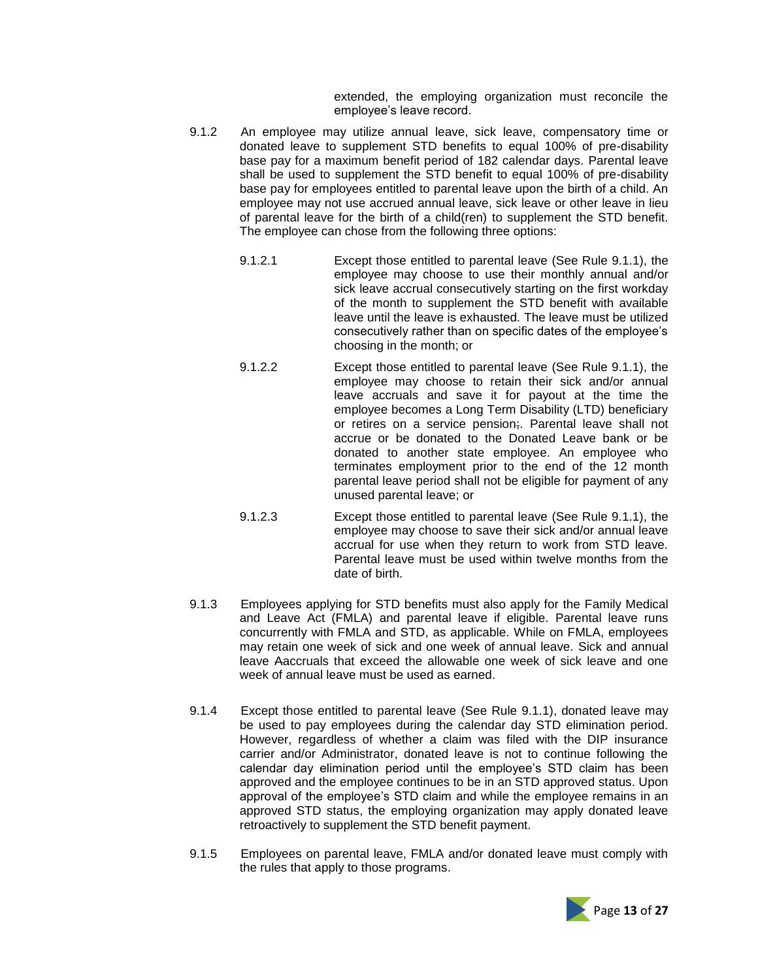extended, the employing organization must reconcile the employee's leave record.

- 9.1.2 An employee may utilize annual leave, sick leave, compensatory time or donated leave to supplement STD benefits to equal 100% of pre-disability base pay for a maximum benefit period of 182 calendar days. Parental leave shall be used to supplement the STD benefit to equal 100% of pre-disability base pay for employees entitled to parental leave upon the birth of a child. An employee may not use accrued annual leave, sick leave or other leave in lieu of parental leave for the birth of a child(ren) to supplement the STD benefit. The employee can chose from the following three options:
	- 9.1.2.1 Except those entitled to parental leave (See Rule 9.1.1), the employee may choose to use their monthly annual and/or sick leave accrual consecutively starting on the first workday of the month to supplement the STD benefit with available leave until the leave is exhausted. The leave must be utilized consecutively rather than on specific dates of the employee's choosing in the month; or
	- 9.1.2.2 Except those entitled to parental leave (See Rule 9.1.1), the employee may choose to retain their sick and/or annual leave accruals and save it for payout at the time the employee becomes a Long Term Disability (LTD) beneficiary or retires on a service pension;. Parental leave shall not accrue or be donated to the Donated Leave bank or be donated to another state employee. An employee who terminates employment prior to the end of the 12 month parental leave period shall not be eligible for payment of any unused parental leave; or
	- 9.1.2.3 Except those entitled to parental leave (See Rule 9.1.1), the employee may choose to save their sick and/or annual leave accrual for use when they return to work from STD leave. Parental leave must be used within twelve months from the date of birth.
- 9.1.3 Employees applying for STD benefits must also apply for the Family Medical and Leave Act (FMLA) and parental leave if eligible. Parental leave runs concurrently with FMLA and STD, as applicable. While on FMLA, employees may retain one week of sick and one week of annual leave. Sick and annual leave Aaccruals that exceed the allowable one week of sick leave and one week of annual leave must be used as earned.
- 9.1.4 Except those entitled to parental leave (See Rule 9.1.1), donated leave may be used to pay employees during the calendar day STD elimination period. However, regardless of whether a claim was filed with the DIP insurance carrier and/or Administrator, donated leave is not to continue following the calendar day elimination period until the employee's STD claim has been approved and the employee continues to be in an STD approved status. Upon approval of the employee's STD claim and while the employee remains in an approved STD status, the employing organization may apply donated leave retroactively to supplement the STD benefit payment.
- 9.1.5 Employees on parental leave, FMLA and/or donated leave must comply with the rules that apply to those programs.

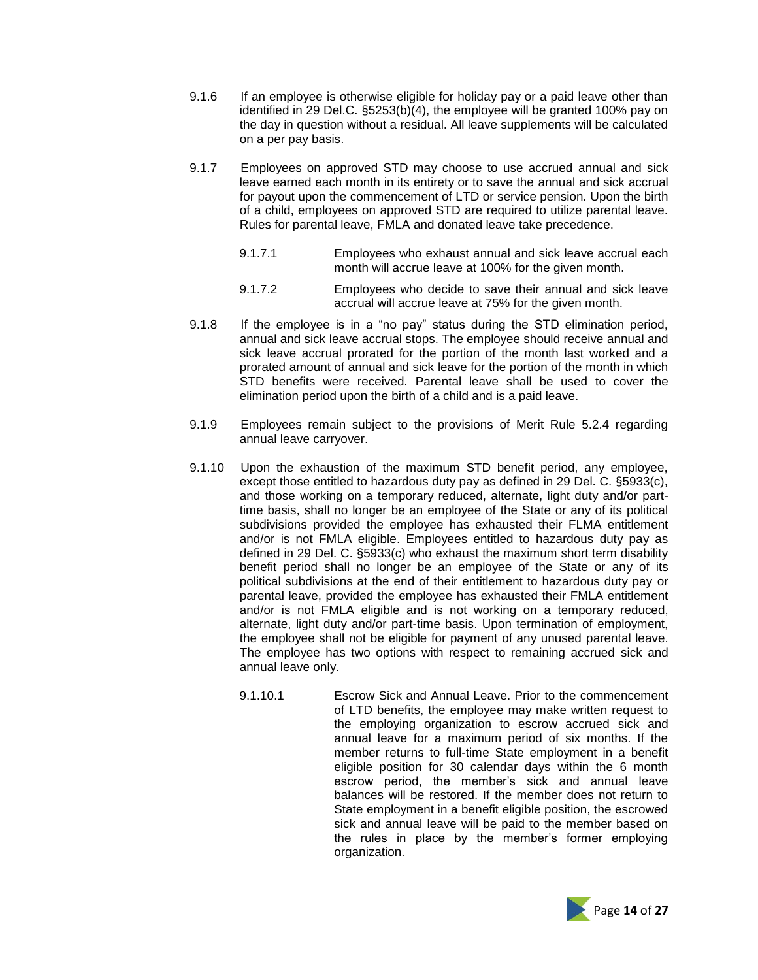- 9.1.6 If an employee is otherwise eligible for holiday pay or a paid leave other than identified in 29 Del.C. §5253(b)(4), the employee will be granted 100% pay on the day in question without a residual. All leave supplements will be calculated on a per pay basis.
- 9.1.7 Employees on approved STD may choose to use accrued annual and sick leave earned each month in its entirety or to save the annual and sick accrual for payout upon the commencement of LTD or service pension. Upon the birth of a child, employees on approved STD are required to utilize parental leave. Rules for parental leave, FMLA and donated leave take precedence.
	- 9.1.7.1 Employees who exhaust annual and sick leave accrual each month will accrue leave at 100% for the given month.
	- 9.1.7.2 Employees who decide to save their annual and sick leave accrual will accrue leave at 75% for the given month.
- 9.1.8 If the employee is in a "no pay" status during the STD elimination period, annual and sick leave accrual stops. The employee should receive annual and sick leave accrual prorated for the portion of the month last worked and a prorated amount of annual and sick leave for the portion of the month in which STD benefits were received. Parental leave shall be used to cover the elimination period upon the birth of a child and is a paid leave.
- 9.1.9 Employees remain subject to the provisions of Merit Rule 5.2.4 regarding annual leave carryover.
- 9.1.10 Upon the exhaustion of the maximum STD benefit period, any employee, except those entitled to hazardous duty pay as defined in 29 Del. C. §5933(c), and those working on a temporary reduced, alternate, light duty and/or parttime basis, shall no longer be an employee of the State or any of its political subdivisions provided the employee has exhausted their FLMA entitlement and/or is not FMLA eligible. Employees entitled to hazardous duty pay as defined in 29 Del. C. §5933(c) who exhaust the maximum short term disability benefit period shall no longer be an employee of the State or any of its political subdivisions at the end of their entitlement to hazardous duty pay or parental leave, provided the employee has exhausted their FMLA entitlement and/or is not FMLA eligible and is not working on a temporary reduced, alternate, light duty and/or part-time basis. Upon termination of employment, the employee shall not be eligible for payment of any unused parental leave. The employee has two options with respect to remaining accrued sick and annual leave only.
	- 9.1.10.1 Escrow Sick and Annual Leave. Prior to the commencement of LTD benefits, the employee may make written request to the employing organization to escrow accrued sick and annual leave for a maximum period of six months. If the member returns to full-time State employment in a benefit eligible position for 30 calendar days within the 6 month escrow period, the member's sick and annual leave balances will be restored. If the member does not return to State employment in a benefit eligible position, the escrowed sick and annual leave will be paid to the member based on the rules in place by the member's former employing organization.

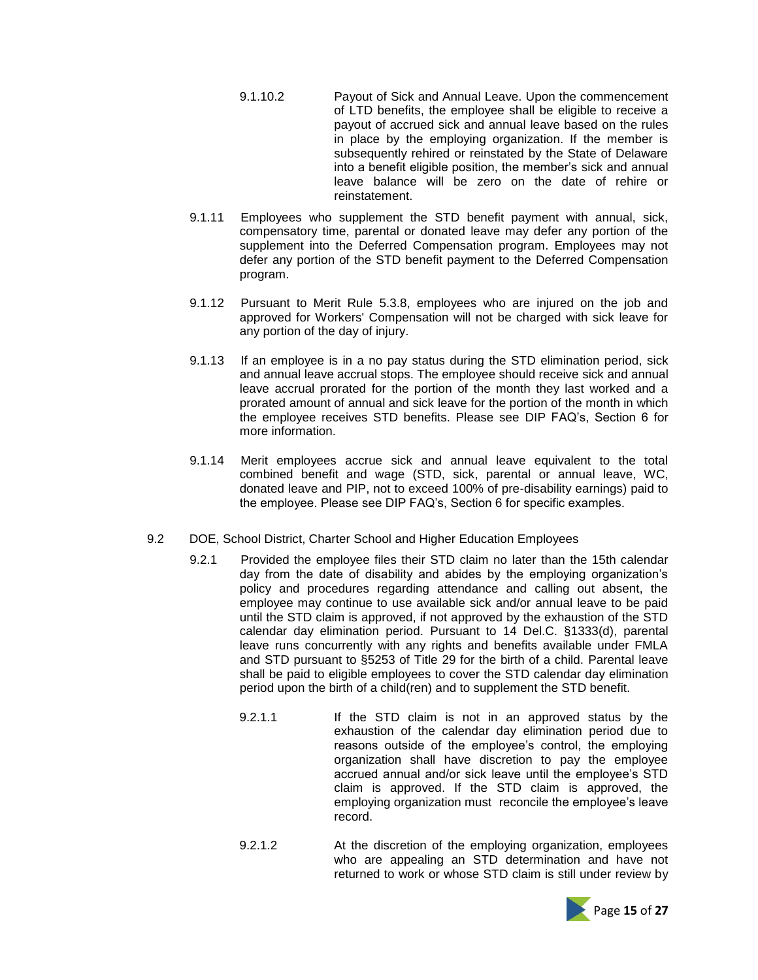- 9.1.10.2 Payout of Sick and Annual Leave. Upon the commencement of LTD benefits, the employee shall be eligible to receive a payout of accrued sick and annual leave based on the rules in place by the employing organization. If the member is subsequently rehired or reinstated by the State of Delaware into a benefit eligible position, the member's sick and annual leave balance will be zero on the date of rehire or reinstatement.
- 9.1.11 Employees who supplement the STD benefit payment with annual, sick, compensatory time, parental or donated leave may defer any portion of the supplement into the Deferred Compensation program. Employees may not defer any portion of the STD benefit payment to the Deferred Compensation program.
- 9.1.12 Pursuant to Merit Rule 5.3.8, employees who are injured on the job and approved for Workers' Compensation will not be charged with sick leave for any portion of the day of injury.
- 9.1.13 If an employee is in a no pay status during the STD elimination period, sick and annual leave accrual stops. The employee should receive sick and annual leave accrual prorated for the portion of the month they last worked and a prorated amount of annual and sick leave for the portion of the month in which the employee receives STD benefits. Please see DIP FAQ's, Section 6 for more information.
- 9.1.14 Merit employees accrue sick and annual leave equivalent to the total combined benefit and wage (STD, sick, parental or annual leave, WC, donated leave and PIP, not to exceed 100% of pre-disability earnings) paid to the employee. Please see DIP FAQ's, Section 6 for specific examples.
- 9.2 DOE, School District, Charter School and Higher Education Employees
	- 9.2.1 Provided the employee files their STD claim no later than the 15th calendar day from the date of disability and abides by the employing organization's policy and procedures regarding attendance and calling out absent, the employee may continue to use available sick and/or annual leave to be paid until the STD claim is approved, if not approved by the exhaustion of the STD calendar day elimination period. Pursuant to 14 Del.C. §1333(d), parental leave runs concurrently with any rights and benefits available under FMLA and STD pursuant to §5253 of Title 29 for the birth of a child. Parental leave shall be paid to eligible employees to cover the STD calendar day elimination period upon the birth of a child(ren) and to supplement the STD benefit.
		- 9.2.1.1 If the STD claim is not in an approved status by the exhaustion of the calendar day elimination period due to reasons outside of the employee's control, the employing organization shall have discretion to pay the employee accrued annual and/or sick leave until the employee's STD claim is approved. If the STD claim is approved, the employing organization must reconcile the employee's leave record.
		- 9.2.1.2 At the discretion of the employing organization, employees who are appealing an STD determination and have not returned to work or whose STD claim is still under review by

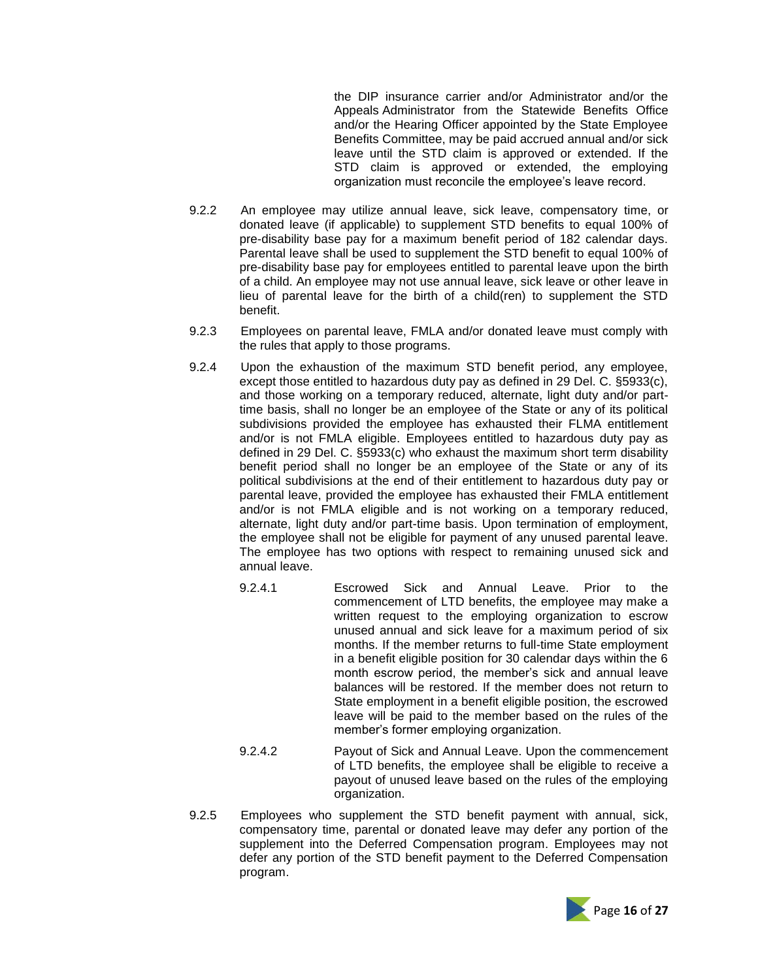the DIP insurance carrier and/or Administrator and/or the Appeals Administrator from the Statewide Benefits Office and/or the Hearing Officer appointed by the State Employee Benefits Committee, may be paid accrued annual and/or sick leave until the STD claim is approved or extended. If the STD claim is approved or extended, the employing organization must reconcile the employee's leave record.

- 9.2.2 An employee may utilize annual leave, sick leave, compensatory time, or donated leave (if applicable) to supplement STD benefits to equal 100% of pre-disability base pay for a maximum benefit period of 182 calendar days. Parental leave shall be used to supplement the STD benefit to equal 100% of pre-disability base pay for employees entitled to parental leave upon the birth of a child. An employee may not use annual leave, sick leave or other leave in lieu of parental leave for the birth of a child(ren) to supplement the STD benefit.
- 9.2.3 Employees on parental leave, FMLA and/or donated leave must comply with the rules that apply to those programs.
- 9.2.4 Upon the exhaustion of the maximum STD benefit period, any employee, except those entitled to hazardous duty pay as defined in 29 Del. C. §5933(c), and those working on a temporary reduced, alternate, light duty and/or parttime basis, shall no longer be an employee of the State or any of its political subdivisions provided the employee has exhausted their FLMA entitlement and/or is not FMLA eligible. Employees entitled to hazardous duty pay as defined in 29 Del. C. §5933(c) who exhaust the maximum short term disability benefit period shall no longer be an employee of the State or any of its political subdivisions at the end of their entitlement to hazardous duty pay or parental leave, provided the employee has exhausted their FMLA entitlement and/or is not FMLA eligible and is not working on a temporary reduced, alternate, light duty and/or part-time basis. Upon termination of employment, the employee shall not be eligible for payment of any unused parental leave. The employee has two options with respect to remaining unused sick and annual leave.
	- 9.2.4.1 Escrowed Sick and Annual Leave. Prior to the commencement of LTD benefits, the employee may make a written request to the employing organization to escrow unused annual and sick leave for a maximum period of six months. If the member returns to full-time State employment in a benefit eligible position for 30 calendar days within the 6 month escrow period, the member's sick and annual leave balances will be restored. If the member does not return to State employment in a benefit eligible position, the escrowed leave will be paid to the member based on the rules of the member's former employing organization.
	- 9.2.4.2 Payout of Sick and Annual Leave. Upon the commencement of LTD benefits, the employee shall be eligible to receive a payout of unused leave based on the rules of the employing organization.
- 9.2.5 Employees who supplement the STD benefit payment with annual, sick, compensatory time, parental or donated leave may defer any portion of the supplement into the Deferred Compensation program. Employees may not defer any portion of the STD benefit payment to the Deferred Compensation program.

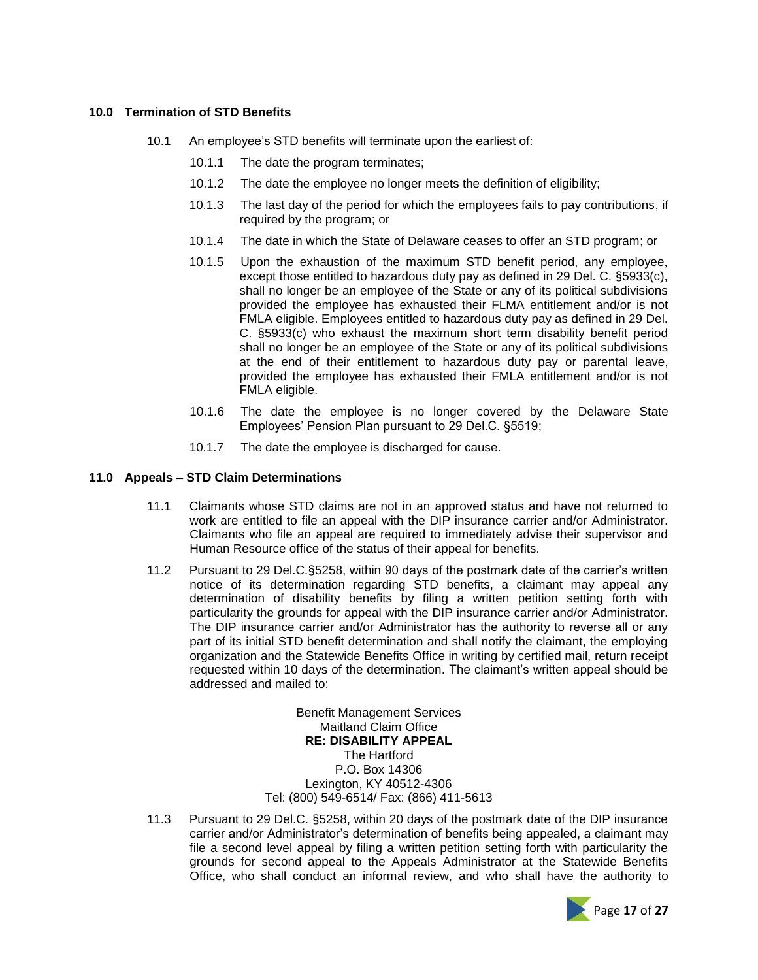#### **10.0 Termination of STD Benefits**

- 10.1 An employee's STD benefits will terminate upon the earliest of:
	- 10.1.1 The date the program terminates;
	- 10.1.2 The date the employee no longer meets the definition of eligibility;
	- 10.1.3 The last day of the period for which the employees fails to pay contributions, if required by the program; or
	- 10.1.4 The date in which the State of Delaware ceases to offer an STD program; or
	- 10.1.5 Upon the exhaustion of the maximum STD benefit period, any employee, except those entitled to hazardous duty pay as defined in 29 Del. C. §5933(c), shall no longer be an employee of the State or any of its political subdivisions provided the employee has exhausted their FLMA entitlement and/or is not FMLA eligible. Employees entitled to hazardous duty pay as defined in 29 Del. C. §5933(c) who exhaust the maximum short term disability benefit period shall no longer be an employee of the State or any of its political subdivisions at the end of their entitlement to hazardous duty pay or parental leave, provided the employee has exhausted their FMLA entitlement and/or is not FMLA eligible.
	- 10.1.6 The date the employee is no longer covered by the Delaware State Employees' Pension Plan pursuant to 29 Del.C. §5519;
	- 10.1.7 The date the employee is discharged for cause.

#### **11.0 Appeals – STD Claim Determinations**

- 11.1 Claimants whose STD claims are not in an approved status and have not returned to work are entitled to file an appeal with the DIP insurance carrier and/or Administrator. Claimants who file an appeal are required to immediately advise their supervisor and Human Resource office of the status of their appeal for benefits.
- 11.2 Pursuant to 29 Del.C.§5258, within 90 days of the postmark date of the carrier's written notice of its determination regarding STD benefits, a claimant may appeal any determination of disability benefits by filing a written petition setting forth with particularity the grounds for appeal with the DIP insurance carrier and/or Administrator. The DIP insurance carrier and/or Administrator has the authority to reverse all or any part of its initial STD benefit determination and shall notify the claimant, the employing organization and the Statewide Benefits Office in writing by certified mail, return receipt requested within 10 days of the determination. The claimant's written appeal should be addressed and mailed to:

Benefit Management Services Maitland Claim Office **RE: DISABILITY APPEAL** The Hartford P.O. Box 14306 Lexington, KY 40512-4306 Tel: (800) 549-6514/ Fax: (866) 411-5613

11.3 Pursuant to 29 Del.C. §5258, within 20 days of the postmark date of the DIP insurance carrier and/or Administrator's determination of benefits being appealed, a claimant may file a second level appeal by filing a written petition setting forth with particularity the grounds for second appeal to the Appeals Administrator at the Statewide Benefits Office, who shall conduct an informal review, and who shall have the authority to

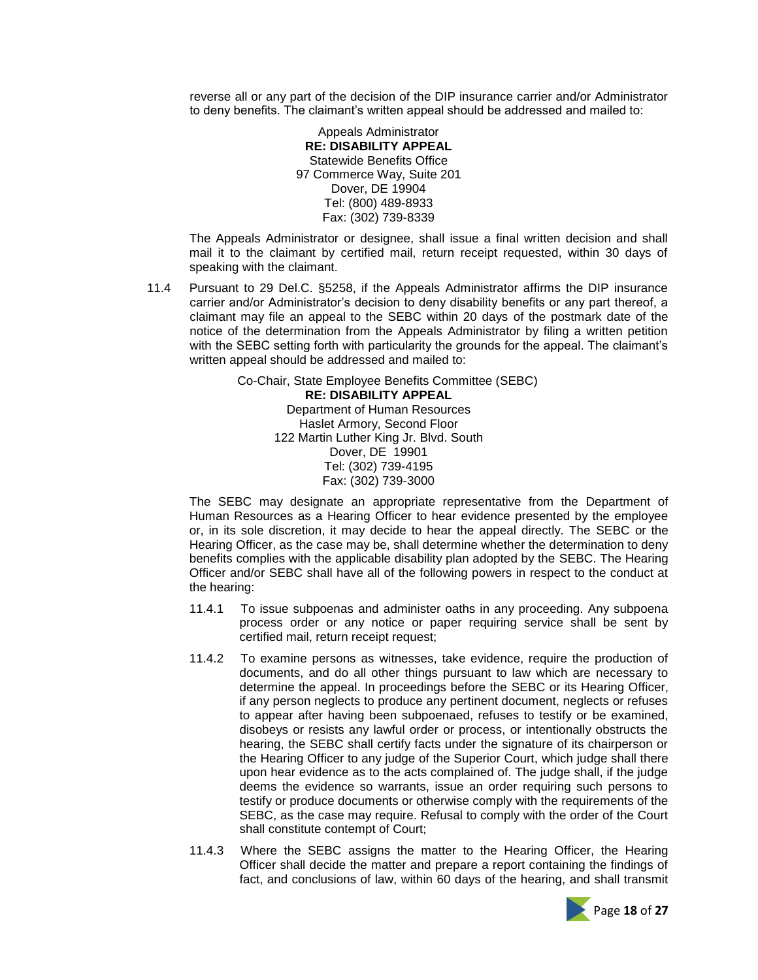reverse all or any part of the decision of the DIP insurance carrier and/or Administrator to deny benefits. The claimant's written appeal should be addressed and mailed to:

> Appeals Administrator **RE: DISABILITY APPEAL** Statewide Benefits Office 97 Commerce Way, Suite 201 Dover, DE 19904 Tel: (800) 489-8933 Fax: (302) 739-8339

The Appeals Administrator or designee, shall issue a final written decision and shall mail it to the claimant by certified mail, return receipt requested, within 30 days of speaking with the claimant.

11.4 Pursuant to 29 Del.C. §5258, if the Appeals Administrator affirms the DIP insurance carrier and/or Administrator's decision to deny disability benefits or any part thereof, a claimant may file an appeal to the SEBC within 20 days of the postmark date of the notice of the determination from the Appeals Administrator by filing a written petition with the SEBC setting forth with particularity the grounds for the appeal. The claimant's written appeal should be addressed and mailed to:

> Co-Chair, State Employee Benefits Committee (SEBC) **RE: DISABILITY APPEAL** Department of Human Resources Haslet Armory, Second Floor 122 Martin Luther King Jr. Blvd. South Dover, DE 19901 Tel: (302) 739-4195 Fax: (302) 739-3000

The SEBC may designate an appropriate representative from the Department of Human Resources as a Hearing Officer to hear evidence presented by the employee or, in its sole discretion, it may decide to hear the appeal directly. The SEBC or the Hearing Officer, as the case may be, shall determine whether the determination to deny benefits complies with the applicable disability plan adopted by the SEBC. The Hearing Officer and/or SEBC shall have all of the following powers in respect to the conduct at the hearing:

- 11.4.1 To issue subpoenas and administer oaths in any proceeding. Any subpoena process order or any notice or paper requiring service shall be sent by certified mail, return receipt request;
- 11.4.2 To examine persons as witnesses, take evidence, require the production of documents, and do all other things pursuant to law which are necessary to determine the appeal. In proceedings before the SEBC or its Hearing Officer, if any person neglects to produce any pertinent document, neglects or refuses to appear after having been subpoenaed, refuses to testify or be examined, disobeys or resists any lawful order or process, or intentionally obstructs the hearing, the SEBC shall certify facts under the signature of its chairperson or the Hearing Officer to any judge of the Superior Court, which judge shall there upon hear evidence as to the acts complained of. The judge shall, if the judge deems the evidence so warrants, issue an order requiring such persons to testify or produce documents or otherwise comply with the requirements of the SEBC, as the case may require. Refusal to comply with the order of the Court shall constitute contempt of Court;
- 11.4.3 Where the SEBC assigns the matter to the Hearing Officer, the Hearing Officer shall decide the matter and prepare a report containing the findings of fact, and conclusions of law, within 60 days of the hearing, and shall transmit

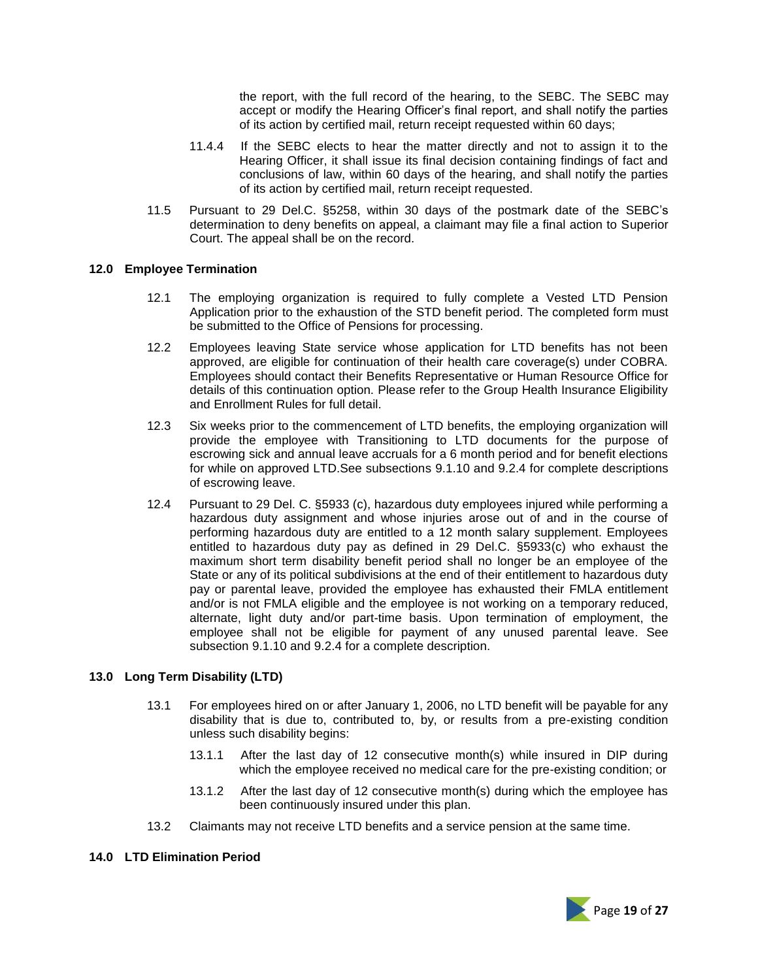the report, with the full record of the hearing, to the SEBC. The SEBC may accept or modify the Hearing Officer's final report, and shall notify the parties of its action by certified mail, return receipt requested within 60 days;

- 11.4.4 If the SEBC elects to hear the matter directly and not to assign it to the Hearing Officer, it shall issue its final decision containing findings of fact and conclusions of law, within 60 days of the hearing, and shall notify the parties of its action by certified mail, return receipt requested.
- 11.5 Pursuant to 29 Del.C. §5258, within 30 days of the postmark date of the SEBC's determination to deny benefits on appeal, a claimant may file a final action to Superior Court. The appeal shall be on the record.

### **12.0 Employee Termination**

- 12.1 The employing organization is required to fully complete a Vested LTD Pension Application prior to the exhaustion of the STD benefit period. The completed form must be submitted to the Office of Pensions for processing.
- 12.2 Employees leaving State service whose application for LTD benefits has not been approved, are eligible for continuation of their health care coverage(s) under COBRA. Employees should contact their Benefits Representative or Human Resource Office for details of this continuation option. Please refer to the Group Health Insurance Eligibility and Enrollment Rules for full detail.
- 12.3 Six weeks prior to the commencement of LTD benefits, the employing organization will provide the employee with Transitioning to LTD documents for the purpose of escrowing sick and annual leave accruals for a 6 month period and for benefit elections for while on approved LTD.See subsections 9.1.10 and 9.2.4 for complete descriptions of escrowing leave.
- 12.4 Pursuant to 29 Del. C. §5933 (c), hazardous duty employees injured while performing a hazardous duty assignment and whose injuries arose out of and in the course of performing hazardous duty are entitled to a 12 month salary supplement. Employees entitled to hazardous duty pay as defined in 29 Del.C. §5933(c) who exhaust the maximum short term disability benefit period shall no longer be an employee of the State or any of its political subdivisions at the end of their entitlement to hazardous duty pay or parental leave, provided the employee has exhausted their FMLA entitlement and/or is not FMLA eligible and the employee is not working on a temporary reduced, alternate, light duty and/or part-time basis. Upon termination of employment, the employee shall not be eligible for payment of any unused parental leave. See subsection 9.1.10 and 9.2.4 for a complete description.

# **13.0 Long Term Disability (LTD)**

- 13.1 For employees hired on or after January 1, 2006, no LTD benefit will be payable for any disability that is due to, contributed to, by, or results from a pre-existing condition unless such disability begins:
	- 13.1.1 After the last day of 12 consecutive month(s) while insured in DIP during which the employee received no medical care for the pre-existing condition; or
	- 13.1.2 After the last day of 12 consecutive month(s) during which the employee has been continuously insured under this plan.
- 13.2 Claimants may not receive LTD benefits and a service pension at the same time.

## **14.0 LTD Elimination Period**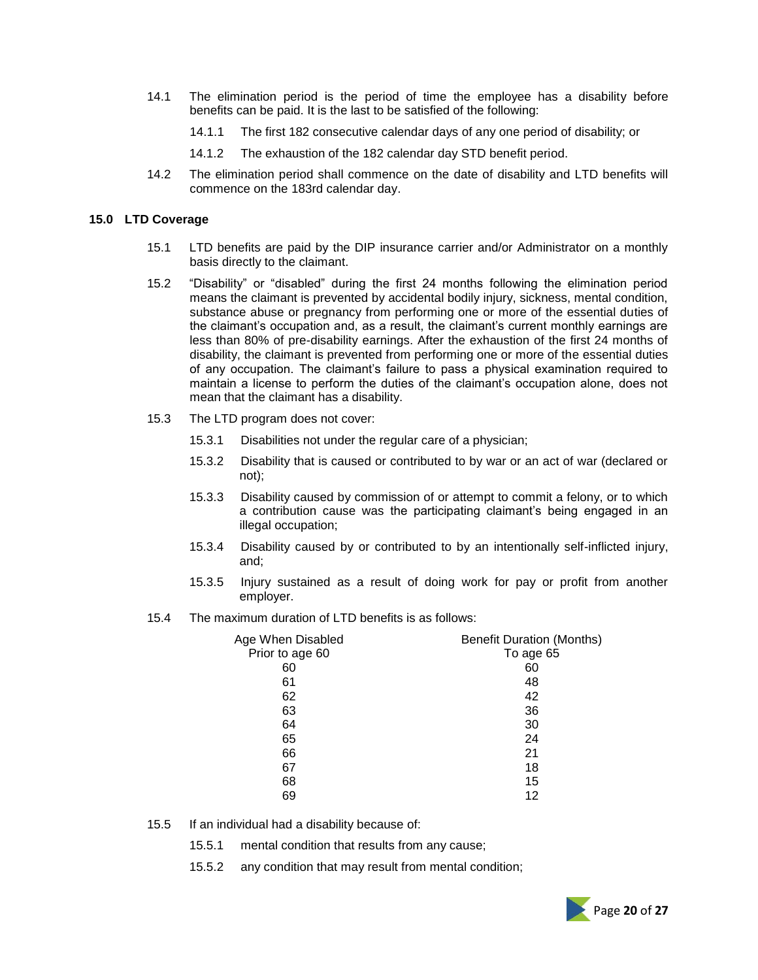- 14.1 The elimination period is the period of time the employee has a disability before benefits can be paid. It is the last to be satisfied of the following:
	- 14.1.1 The first 182 consecutive calendar days of any one period of disability; or
	- 14.1.2 The exhaustion of the 182 calendar day STD benefit period.
- 14.2 The elimination period shall commence on the date of disability and LTD benefits will commence on the 183rd calendar day.

#### **15.0 LTD Coverage**

- 15.1 LTD benefits are paid by the DIP insurance carrier and/or Administrator on a monthly basis directly to the claimant.
- 15.2 "Disability" or "disabled" during the first 24 months following the elimination period means the claimant is prevented by accidental bodily injury, sickness, mental condition, substance abuse or pregnancy from performing one or more of the essential duties of the claimant's occupation and, as a result, the claimant's current monthly earnings are less than 80% of pre-disability earnings. After the exhaustion of the first 24 months of disability, the claimant is prevented from performing one or more of the essential duties of any occupation. The claimant's failure to pass a physical examination required to maintain a license to perform the duties of the claimant's occupation alone, does not mean that the claimant has a disability.
- 15.3 The LTD program does not cover:
	- 15.3.1 Disabilities not under the regular care of a physician;
	- 15.3.2 Disability that is caused or contributed to by war or an act of war (declared or not);
	- 15.3.3 Disability caused by commission of or attempt to commit a felony, or to which a contribution cause was the participating claimant's being engaged in an illegal occupation;
	- 15.3.4 Disability caused by or contributed to by an intentionally self-inflicted injury, and;
	- 15.3.5 Injury sustained as a result of doing work for pay or profit from another employer.
- 15.4 The maximum duration of LTD benefits is as follows:

| Age When Disabled | <b>Benefit Duration (Months)</b> |
|-------------------|----------------------------------|
| Prior to age 60   | To age 65                        |
| 60                | 60                               |
| 61                | 48                               |
| 62                | 42                               |
| 63                | 36                               |
| 64                | 30                               |
| 65                | 24                               |
| 66                | 21                               |
| 67                | 18                               |
| 68                | 15                               |
| 69                | 12                               |

- 15.5 If an individual had a disability because of:
	- 15.5.1 mental condition that results from any cause;
	- 15.5.2 any condition that may result from mental condition;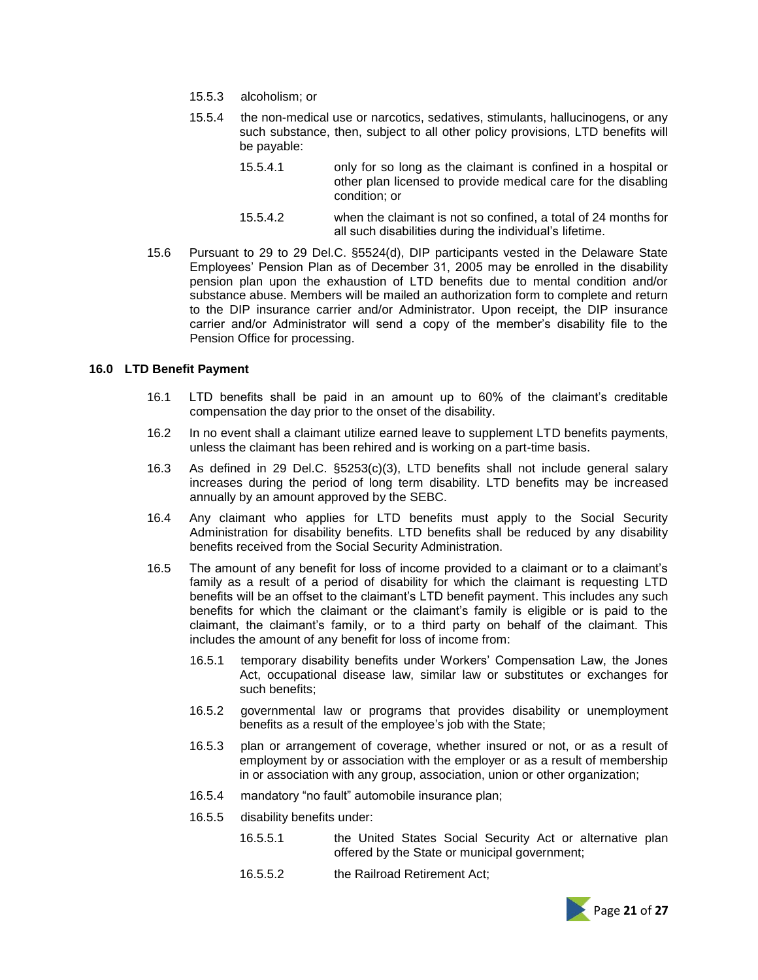- 15.5.3 alcoholism; or
- 15.5.4 the non-medical use or narcotics, sedatives, stimulants, hallucinogens, or any such substance, then, subject to all other policy provisions, LTD benefits will be payable:
	- 15.5.4.1 only for so long as the claimant is confined in a hospital or other plan licensed to provide medical care for the disabling condition; or
	- 15.5.4.2 when the claimant is not so confined, a total of 24 months for all such disabilities during the individual's lifetime.
- 15.6 Pursuant to 29 to 29 Del.C. §5524(d), DIP participants vested in the Delaware State Employees' Pension Plan as of December 31, 2005 may be enrolled in the disability pension plan upon the exhaustion of LTD benefits due to mental condition and/or substance abuse. Members will be mailed an authorization form to complete and return to the DIP insurance carrier and/or Administrator. Upon receipt, the DIP insurance carrier and/or Administrator will send a copy of the member's disability file to the Pension Office for processing.

#### **16.0 LTD Benefit Payment**

- 16.1 LTD benefits shall be paid in an amount up to 60% of the claimant's creditable compensation the day prior to the onset of the disability.
- 16.2 In no event shall a claimant utilize earned leave to supplement LTD benefits payments, unless the claimant has been rehired and is working on a part-time basis.
- 16.3 As defined in 29 Del.C. §5253(c)(3), LTD benefits shall not include general salary increases during the period of long term disability. LTD benefits may be increased annually by an amount approved by the SEBC.
- 16.4 Any claimant who applies for LTD benefits must apply to the Social Security Administration for disability benefits. LTD benefits shall be reduced by any disability benefits received from the Social Security Administration.
- 16.5 The amount of any benefit for loss of income provided to a claimant or to a claimant's family as a result of a period of disability for which the claimant is requesting LTD benefits will be an offset to the claimant's LTD benefit payment. This includes any such benefits for which the claimant or the claimant's family is eligible or is paid to the claimant, the claimant's family, or to a third party on behalf of the claimant. This includes the amount of any benefit for loss of income from:
	- 16.5.1 temporary disability benefits under Workers' Compensation Law, the Jones Act, occupational disease law, similar law or substitutes or exchanges for such benefits;
	- 16.5.2 governmental law or programs that provides disability or unemployment benefits as a result of the employee's job with the State;
	- 16.5.3 plan or arrangement of coverage, whether insured or not, or as a result of employment by or association with the employer or as a result of membership in or association with any group, association, union or other organization;
	- 16.5.4 mandatory "no fault" automobile insurance plan;
	- 16.5.5 disability benefits under:
		- 16.5.5.1 the United States Social Security Act or alternative plan offered by the State or municipal government;
		- 16.5.5.2 the Railroad Retirement Act;

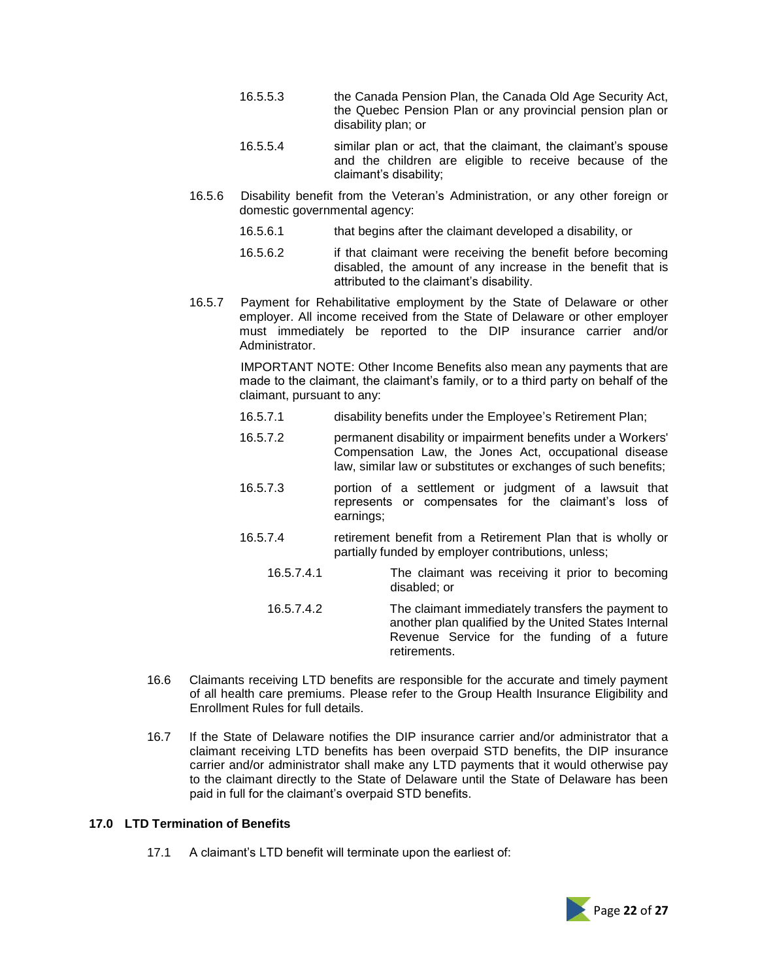- 16.5.5.3 the Canada Pension Plan, the Canada Old Age Security Act, the Quebec Pension Plan or any provincial pension plan or disability plan; or
- 16.5.5.4 similar plan or act, that the claimant, the claimant's spouse and the children are eligible to receive because of the claimant's disability;
- 16.5.6 Disability benefit from the Veteran's Administration, or any other foreign or domestic governmental agency:
	- 16.5.6.1 that begins after the claimant developed a disability, or
	- 16.5.6.2 if that claimant were receiving the benefit before becoming disabled, the amount of any increase in the benefit that is attributed to the claimant's disability.
- 16.5.7 Payment for Rehabilitative employment by the State of Delaware or other employer. All income received from the State of Delaware or other employer must immediately be reported to the DIP insurance carrier and/or Administrator.

IMPORTANT NOTE: Other Income Benefits also mean any payments that are made to the claimant, the claimant's family, or to a third party on behalf of the claimant, pursuant to any:

- 16.5.7.1 disability benefits under the Employee's Retirement Plan;
- 16.5.7.2 permanent disability or impairment benefits under a Workers' Compensation Law, the Jones Act, occupational disease law, similar law or substitutes or exchanges of such benefits;
- 16.5.7.3 portion of a settlement or judgment of a lawsuit that represents or compensates for the claimant's loss of earnings;
- 16.5.7.4 retirement benefit from a Retirement Plan that is wholly or partially funded by employer contributions, unless;
	- 16.5.7.4.1 The claimant was receiving it prior to becoming disabled; or
	- 16.5.7.4.2 The claimant immediately transfers the payment to another plan qualified by the United States Internal Revenue Service for the funding of a future retirements.
- 16.6 Claimants receiving LTD benefits are responsible for the accurate and timely payment of all health care premiums. Please refer to the Group Health Insurance Eligibility and Enrollment Rules for full details.
- 16.7 If the State of Delaware notifies the DIP insurance carrier and/or administrator that a claimant receiving LTD benefits has been overpaid STD benefits, the DIP insurance carrier and/or administrator shall make any LTD payments that it would otherwise pay to the claimant directly to the State of Delaware until the State of Delaware has been paid in full for the claimant's overpaid STD benefits.

## **17.0 LTD Termination of Benefits**

17.1 A claimant's LTD benefit will terminate upon the earliest of:

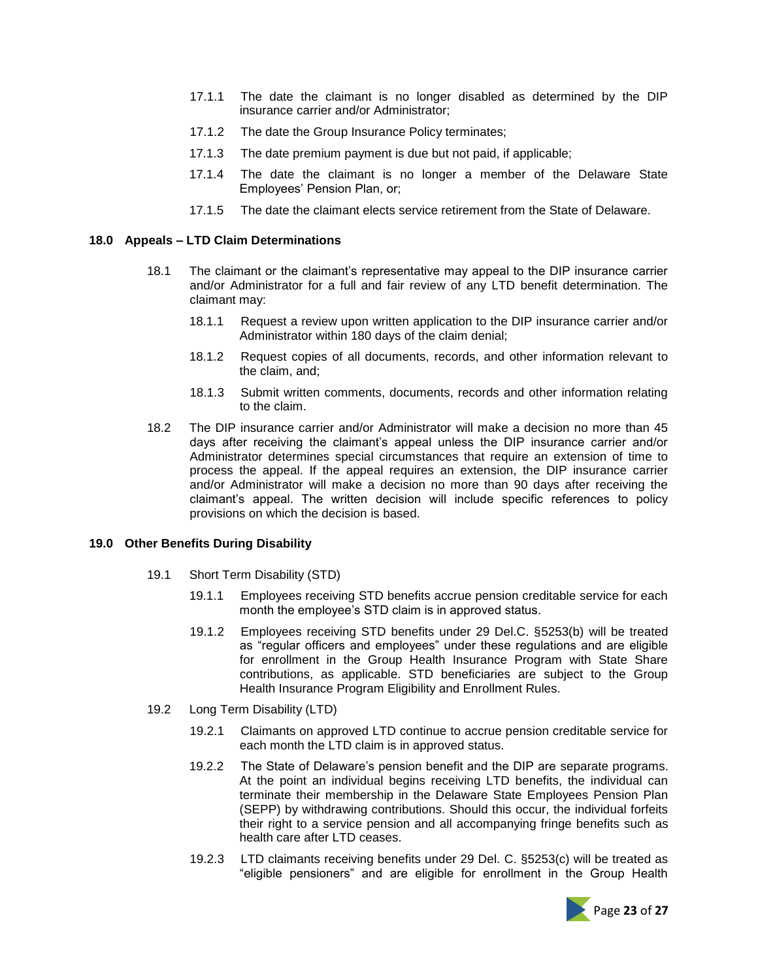- 17.1.1 The date the claimant is no longer disabled as determined by the DIP insurance carrier and/or Administrator;
- 17.1.2 The date the Group Insurance Policy terminates;
- 17.1.3 The date premium payment is due but not paid, if applicable;
- 17.1.4 The date the claimant is no longer a member of the Delaware State Employees' Pension Plan, or;
- 17.1.5 The date the claimant elects service retirement from the State of Delaware.

#### **18.0 Appeals – LTD Claim Determinations**

- 18.1 The claimant or the claimant's representative may appeal to the DIP insurance carrier and/or Administrator for a full and fair review of any LTD benefit determination. The claimant may:
	- 18.1.1 Request a review upon written application to the DIP insurance carrier and/or Administrator within 180 days of the claim denial;
	- 18.1.2 Request copies of all documents, records, and other information relevant to the claim, and;
	- 18.1.3 Submit written comments, documents, records and other information relating to the claim.
- 18.2 The DIP insurance carrier and/or Administrator will make a decision no more than 45 days after receiving the claimant's appeal unless the DIP insurance carrier and/or Administrator determines special circumstances that require an extension of time to process the appeal. If the appeal requires an extension, the DIP insurance carrier and/or Administrator will make a decision no more than 90 days after receiving the claimant's appeal. The written decision will include specific references to policy provisions on which the decision is based.

#### **19.0 Other Benefits During Disability**

- 19.1 Short Term Disability (STD)
	- 19.1.1 Employees receiving STD benefits accrue pension creditable service for each month the employee's STD claim is in approved status.
	- 19.1.2 Employees receiving STD benefits under 29 Del.C. §5253(b) will be treated as "regular officers and employees" under these regulations and are eligible for enrollment in the Group Health Insurance Program with State Share contributions, as applicable. STD beneficiaries are subject to the Group Health Insurance Program Eligibility and Enrollment Rules.
- 19.2 Long Term Disability (LTD)
	- 19.2.1 Claimants on approved LTD continue to accrue pension creditable service for each month the LTD claim is in approved status.
	- 19.2.2 The State of Delaware's pension benefit and the DIP are separate programs. At the point an individual begins receiving LTD benefits, the individual can terminate their membership in the Delaware State Employees Pension Plan (SEPP) by withdrawing contributions. Should this occur, the individual forfeits their right to a service pension and all accompanying fringe benefits such as health care after LTD ceases.
	- 19.2.3 LTD claimants receiving benefits under 29 Del. C. §5253(c) will be treated as "eligible pensioners" and are eligible for enrollment in the Group Health

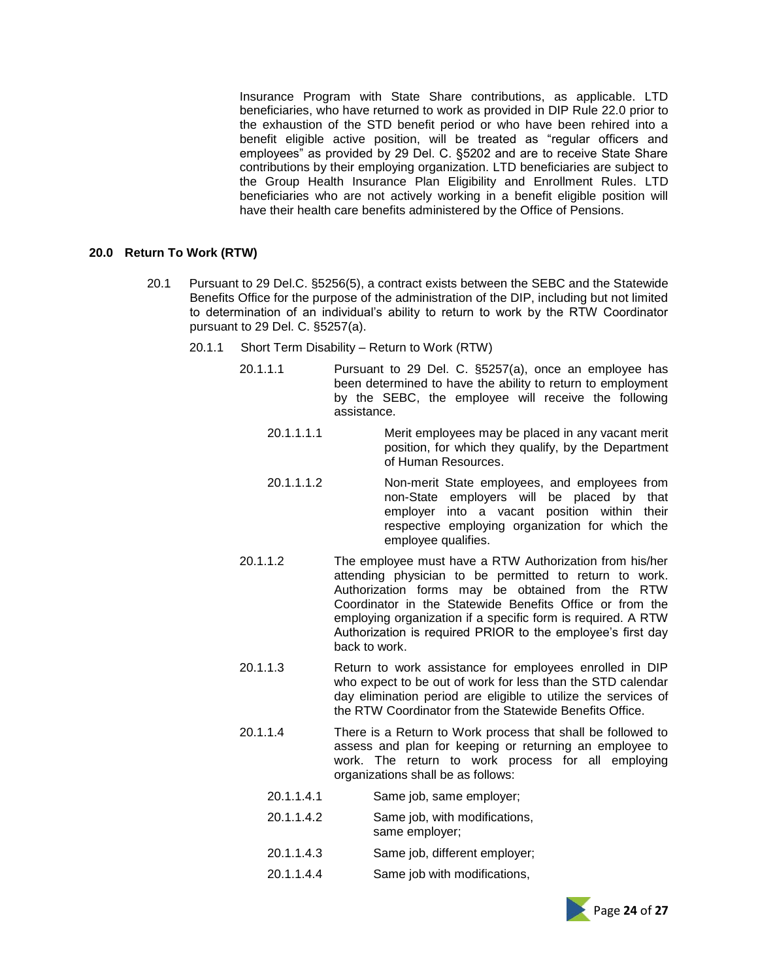Insurance Program with State Share contributions, as applicable. LTD beneficiaries, who have returned to work as provided in DIP Rule 22.0 prior to the exhaustion of the STD benefit period or who have been rehired into a benefit eligible active position, will be treated as "regular officers and employees" as provided by 29 Del. C. §5202 and are to receive State Share contributions by their employing organization. LTD beneficiaries are subject to the Group Health Insurance Plan Eligibility and Enrollment Rules. LTD beneficiaries who are not actively working in a benefit eligible position will have their health care benefits administered by the Office of Pensions.

# **20.0 Return To Work (RTW)**

- 20.1 Pursuant to 29 Del.C. §5256(5), a contract exists between the SEBC and the Statewide Benefits Office for the purpose of the administration of the DIP, including but not limited to determination of an individual's ability to return to work by the RTW Coordinator pursuant to 29 Del. C. §5257(a).
	- 20.1.1 Short Term Disability Return to Work (RTW)
		- 20.1.1.1 Pursuant to 29 Del. C. §5257(a), once an employee has been determined to have the ability to return to employment by the SEBC, the employee will receive the following assistance.
			- 20.1.1.1.1 Merit employees may be placed in any vacant merit position, for which they qualify, by the Department of Human Resources.
			- 20.1.1.1.2 Non-merit State employees, and employees from non-State employers will be placed by that employer into a vacant position within their respective employing organization for which the employee qualifies.
		- 20.1.1.2 The employee must have a RTW Authorization from his/her attending physician to be permitted to return to work. Authorization forms may be obtained from the RTW Coordinator in the Statewide Benefits Office or from the employing organization if a specific form is required. A RTW Authorization is required PRIOR to the employee's first day back to work.
		- 20.1.1.3 Return to work assistance for employees enrolled in DIP who expect to be out of work for less than the STD calendar day elimination period are eligible to utilize the services of the RTW Coordinator from the Statewide Benefits Office.
		- 20.1.1.4 There is a Return to Work process that shall be followed to assess and plan for keeping or returning an employee to work. The return to work process for all employing organizations shall be as follows:
			- 20.1.1.4.1 Same job, same employer;
			- 20.1.1.4.2 Same job, with modifications, same employer;
			- 20.1.1.4.3 Same job, different employer;
			- 20.1.1.4.4 Same job with modifications,

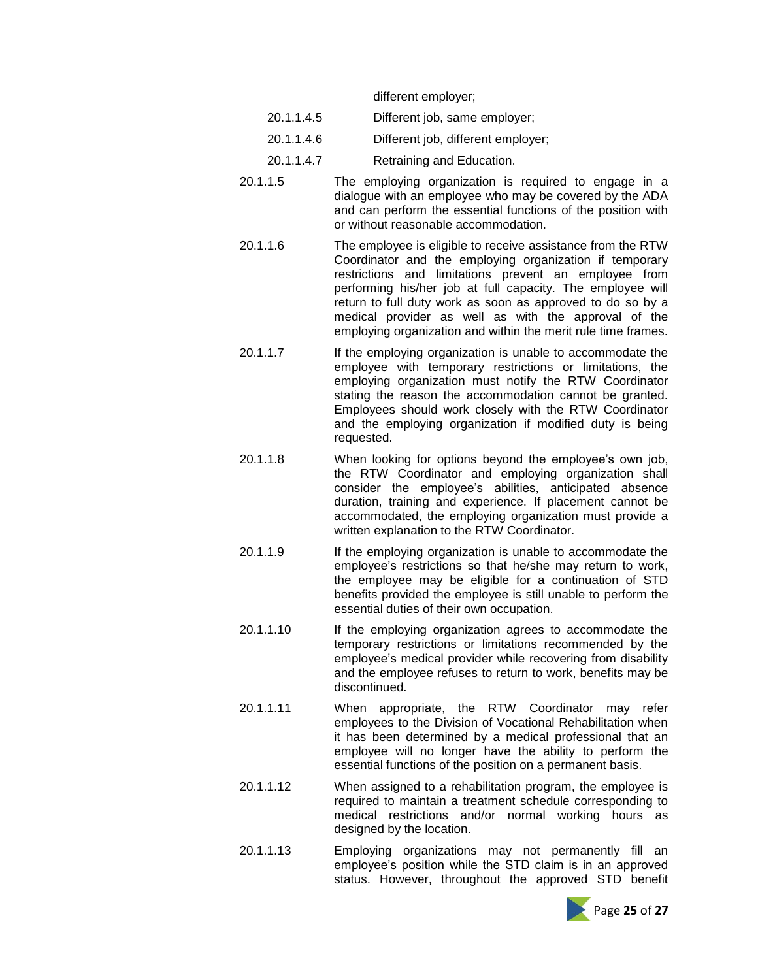different employer;

- 20.1.1.4.5 Different job, same employer;
- 20.1.1.4.6 Different job, different employer;
- 20.1.1.4.7 Retraining and Education.
- 20.1.1.5 The employing organization is required to engage in a dialogue with an employee who may be covered by the ADA and can perform the essential functions of the position with or without reasonable accommodation.
- 20.1.1.6 The employee is eligible to receive assistance from the RTW Coordinator and the employing organization if temporary restrictions and limitations prevent an employee from performing his/her job at full capacity. The employee will return to full duty work as soon as approved to do so by a medical provider as well as with the approval of the employing organization and within the merit rule time frames.
- 20.1.1.7 If the employing organization is unable to accommodate the employee with temporary restrictions or limitations, the employing organization must notify the RTW Coordinator stating the reason the accommodation cannot be granted. Employees should work closely with the RTW Coordinator and the employing organization if modified duty is being requested.
- 20.1.1.8 When looking for options beyond the employee's own job, the RTW Coordinator and employing organization shall consider the employee's abilities, anticipated absence duration, training and experience. If placement cannot be accommodated, the employing organization must provide a written explanation to the RTW Coordinator.
- 20.1.1.9 If the employing organization is unable to accommodate the employee's restrictions so that he/she may return to work, the employee may be eligible for a continuation of STD benefits provided the employee is still unable to perform the essential duties of their own occupation.
- 20.1.1.10 If the employing organization agrees to accommodate the temporary restrictions or limitations recommended by the employee's medical provider while recovering from disability and the employee refuses to return to work, benefits may be discontinued.
- 20.1.1.11 When appropriate, the RTW Coordinator may refer employees to the Division of Vocational Rehabilitation when it has been determined by a medical professional that an employee will no longer have the ability to perform the essential functions of the position on a permanent basis.
- 20.1.1.12 When assigned to a rehabilitation program, the employee is required to maintain a treatment schedule corresponding to medical restrictions and/or normal working hours as designed by the location.
- 20.1.1.13 Employing organizations may not permanently fill an employee's position while the STD claim is in an approved status. However, throughout the approved STD benefit

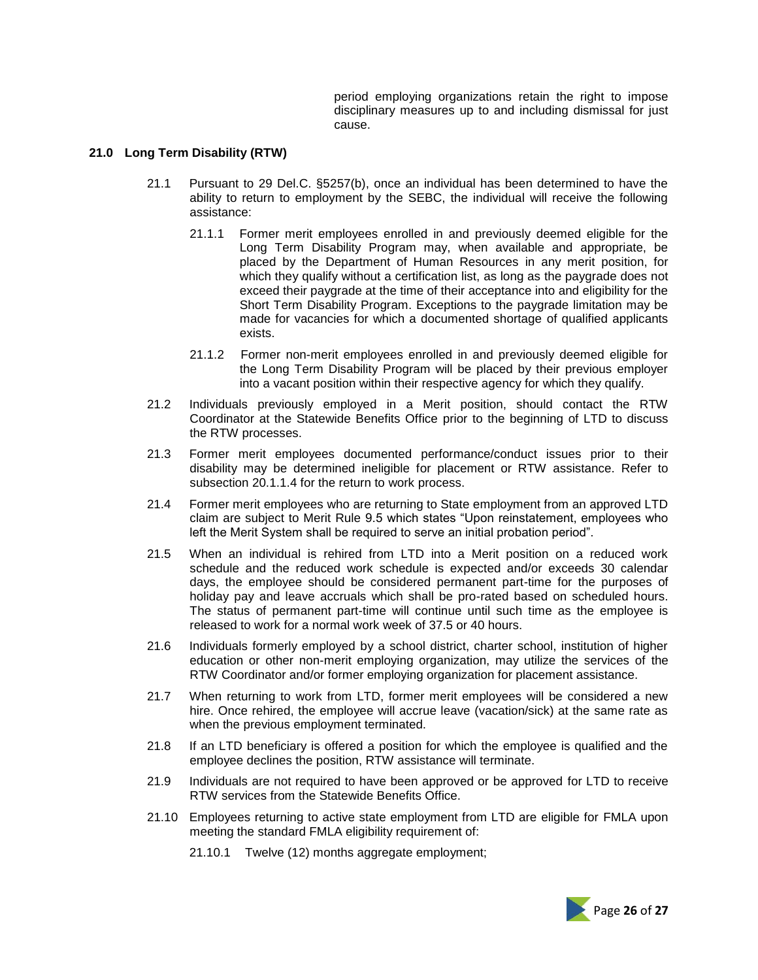period employing organizations retain the right to impose disciplinary measures up to and including dismissal for just cause.

#### **21.0 Long Term Disability (RTW)**

- 21.1 Pursuant to 29 Del.C. §5257(b), once an individual has been determined to have the ability to return to employment by the SEBC, the individual will receive the following assistance:
	- 21.1.1 Former merit employees enrolled in and previously deemed eligible for the Long Term Disability Program may, when available and appropriate, be placed by the Department of Human Resources in any merit position, for which they qualify without a certification list, as long as the paygrade does not exceed their paygrade at the time of their acceptance into and eligibility for the Short Term Disability Program. Exceptions to the paygrade limitation may be made for vacancies for which a documented shortage of qualified applicants exists.
	- 21.1.2 Former non-merit employees enrolled in and previously deemed eligible for the Long Term Disability Program will be placed by their previous employer into a vacant position within their respective agency for which they qualify.
- 21.2 Individuals previously employed in a Merit position, should contact the RTW Coordinator at the Statewide Benefits Office prior to the beginning of LTD to discuss the RTW processes.
- 21.3 Former merit employees documented performance/conduct issues prior to their disability may be determined ineligible for placement or RTW assistance. Refer to subsection 20.1.1.4 for the return to work process.
- 21.4 Former merit employees who are returning to State employment from an approved LTD claim are subject to Merit Rule 9.5 which states "Upon reinstatement, employees who left the Merit System shall be required to serve an initial probation period".
- 21.5 When an individual is rehired from LTD into a Merit position on a reduced work schedule and the reduced work schedule is expected and/or exceeds 30 calendar days, the employee should be considered permanent part-time for the purposes of holiday pay and leave accruals which shall be pro-rated based on scheduled hours. The status of permanent part-time will continue until such time as the employee is released to work for a normal work week of 37.5 or 40 hours.
- 21.6 Individuals formerly employed by a school district, charter school, institution of higher education or other non-merit employing organization, may utilize the services of the RTW Coordinator and/or former employing organization for placement assistance.
- 21.7 When returning to work from LTD, former merit employees will be considered a new hire. Once rehired, the employee will accrue leave (vacation/sick) at the same rate as when the previous employment terminated.
- 21.8 If an LTD beneficiary is offered a position for which the employee is qualified and the employee declines the position, RTW assistance will terminate.
- 21.9 Individuals are not required to have been approved or be approved for LTD to receive RTW services from the Statewide Benefits Office.
- 21.10 Employees returning to active state employment from LTD are eligible for FMLA upon meeting the standard FMLA eligibility requirement of:
	- 21.10.1 Twelve (12) months aggregate employment;